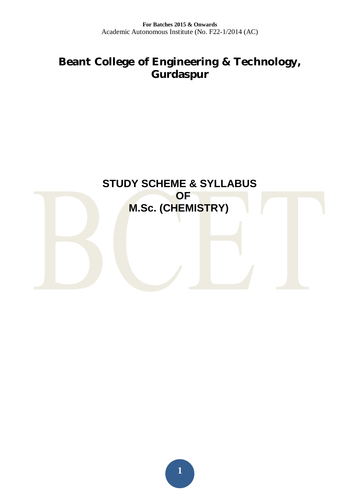# **Beant College of Engineering & Technology, Gurdaspur**

# **STUDY SCHEME & SYLLABUS**

# **DE M.Sc. (CHEMISTRY)**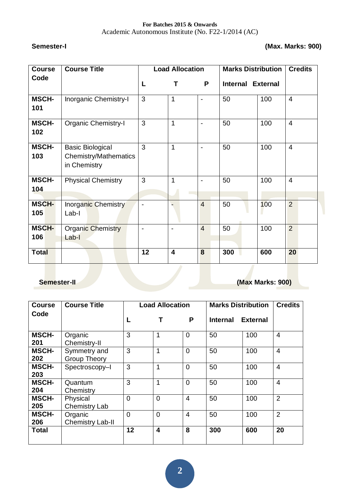Academic Autonomous Institute (No. F22-1/2014 (AC)

#### **Semester-I (Max. Marks: 900)**

| <b>Course</b>       | <b>Course Title</b>                                                     | <b>Load Allocation</b> |                         |                   | <b>Marks Distribution</b> | <b>Credits</b> |                |
|---------------------|-------------------------------------------------------------------------|------------------------|-------------------------|-------------------|---------------------------|----------------|----------------|
| Code                |                                                                         | P<br>L<br>т            |                         | Internal External |                           |                |                |
| <b>MSCH-</b><br>101 | Inorganic Chemistry-I                                                   | 3                      | 1                       | $\blacksquare$    | 50                        | 100            | $\overline{4}$ |
| <b>MSCH-</b><br>102 | <b>Organic Chemistry-I</b>                                              | 3                      | 1                       | $\blacksquare$    | 50                        | 100            | $\overline{4}$ |
| <b>MSCH-</b><br>103 | <b>Basic Biological</b><br><b>Chemistry/Mathematics</b><br>in Chemistry | 3                      | 1                       | ä,                | 50                        | 100            | $\overline{4}$ |
| <b>MSCH-</b><br>104 | <b>Physical Chemistry</b>                                               | 3                      | 1                       | $\blacksquare$    | 50                        | 100            | $\overline{4}$ |
| <b>MSCH-</b><br>105 | Inorganic Chemistry<br>Lab-I                                            |                        |                         | $\overline{4}$    | 50                        | 100            | $\overline{2}$ |
| <b>MSCH-</b><br>106 | <b>Organic Chemistry</b><br>Lab-I                                       |                        |                         | $\overline{4}$    | 50                        | 100            | $\overline{2}$ |
| <b>Total</b>        |                                                                         | 12                     | $\overline{\mathbf{4}}$ | 8                 | 300                       | 600            | 20             |

# **Semester-II Construction Construction Construction Construction (Max Marks: 900)**

| <b>Course</b>       | <b>Course Title</b>                 |                | <b>Load Allocation</b>  |                | <b>Marks Distribution</b> | <b>Credits</b>  |                |
|---------------------|-------------------------------------|----------------|-------------------------|----------------|---------------------------|-----------------|----------------|
| Code                |                                     | L              |                         | P              | <b>Internal</b>           | <b>External</b> |                |
| <b>MSCH-</b><br>201 | Organic<br>Chemistry-II             | 3              | 1                       | $\Omega$       | 50                        | 100             | $\overline{4}$ |
| <b>MSCH-</b><br>202 | Symmetry and<br><b>Group Theory</b> | 3              | 1                       | $\overline{0}$ | 100<br>50                 |                 | $\overline{4}$ |
| <b>MSCH-</b><br>203 | Spectroscopy-I                      | 3              | 1                       | $\Omega$       | 50                        | 100             | $\overline{4}$ |
| <b>MSCH-</b><br>204 | Quantum<br>Chemistry                | 3              | 1                       | $\overline{0}$ | 50                        | 100             | $\overline{4}$ |
| <b>MSCH-</b><br>205 | Physical<br><b>Chemistry Lab</b>    | 0              | $\overline{0}$          | 4              | 50                        | 100             | $\overline{2}$ |
| <b>MSCH-</b><br>206 | Organic<br><b>Chemistry Lab-II</b>  | $\overline{0}$ | $\overline{0}$          | $\overline{4}$ | 50                        | 100             | $\overline{2}$ |
| <b>Total</b>        |                                     | 12             | $\overline{\mathbf{4}}$ | 8              | 300                       | 600             | 20             |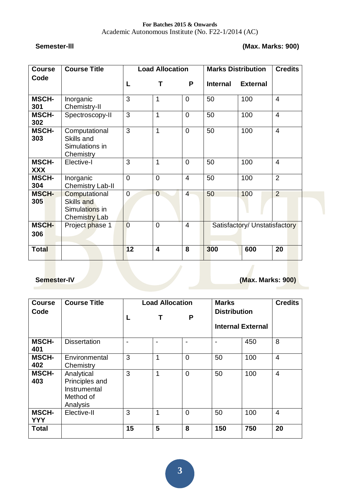#### **Semester-lll (Max. Marks: 900)**

| <b>Course</b>              | <b>Course Title</b>                                                   | <b>Load Allocation</b> |                         |                | <b>Marks Distribution</b>     | <b>Credits</b>  |                |
|----------------------------|-----------------------------------------------------------------------|------------------------|-------------------------|----------------|-------------------------------|-----------------|----------------|
| Code                       |                                                                       | L                      | т                       | P              | <b>Internal</b>               | <b>External</b> |                |
| <b>MSCH-</b><br>301        | Inorganic<br>Chemistry-II                                             | 3                      | $\mathbf{1}$            | 0              | 50                            | 100             | $\overline{4}$ |
| <b>MSCH-</b><br>302        | Spectroscopy-II                                                       | 3                      | 1                       | $\overline{0}$ | 50                            | 100             | $\overline{4}$ |
| <b>MSCH-</b><br>303        | Computational<br>Skills and<br>Simulations in<br>Chemistry            | 3                      | $\mathbf{1}$            | $\overline{0}$ | 50                            | 100             | $\overline{4}$ |
| <b>MSCH-</b><br><b>XXX</b> | Elective-I                                                            | 3                      | 1                       | $\overline{0}$ | 100<br>50                     |                 | $\overline{4}$ |
| <b>MSCH-</b><br>304        | Inorganic<br><b>Chemistry Lab-II</b>                                  | $\overline{0}$         | $\overline{0}$          | 4              | 100<br>50                     |                 | $\overline{2}$ |
| <b>MSCH-</b><br>305        | Computational<br><b>Skills and</b><br>Simulations in<br>Chemistry Lab | 0                      | $\overline{0}$          | $\overline{4}$ | 50                            | 100             | 2              |
| <b>MSCH-</b><br>306        | Project phase 1                                                       | $\overline{0}$         | $\overline{0}$          | $\overline{4}$ | Satisfactory/ Unstatisfactory |                 |                |
| <b>Total</b>               |                                                                       | 12                     | $\overline{\mathbf{4}}$ | 8              | 300                           | 600             | 20             |

### **Semester-IV Construction Construction Construction Construction Construction (Max. Marks: 900)**

| <b>Course</b>              | <b>Course Title</b>                                                   |    | <b>Load Allocation</b> |          | <b>Marks</b><br><b>Distribution</b><br><b>Internal External</b> |     | <b>Credits</b> |
|----------------------------|-----------------------------------------------------------------------|----|------------------------|----------|-----------------------------------------------------------------|-----|----------------|
| Code                       |                                                                       | L  |                        | P        |                                                                 |     |                |
| <b>MSCH-</b><br>401        | <b>Dissertation</b>                                                   |    | ۰.                     | ۰        |                                                                 | 450 | 8              |
| <b>MSCH-</b><br>402        | Environmental<br>Chemistry                                            | 3  |                        | $\Omega$ | 50                                                              | 100 | $\overline{4}$ |
| <b>MSCH-</b><br>403        | Analytical<br>Principles and<br>Instrumental<br>Method of<br>Analysis | 3  | 1                      | $\Omega$ | 50                                                              | 100 | $\overline{4}$ |
| <b>MSCH-</b><br><b>YYY</b> | Elective-II                                                           | 3  | 1                      | $\Omega$ | 50                                                              | 100 | $\overline{4}$ |
| <b>Total</b>               |                                                                       | 15 | 5                      | 8        | 150                                                             | 750 | 20             |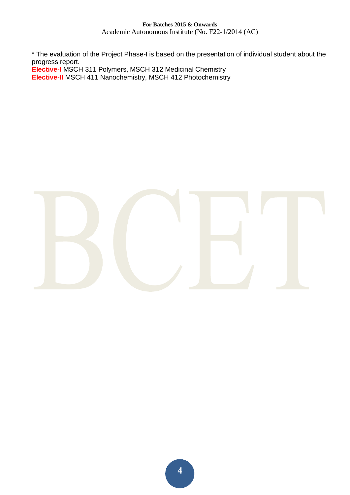Academic Autonomous Institute (No. F22-1/2014 (AC)

\* The evaluation of the Project Phase-I is based on the presentation of individual student about the progress report.

**Elective-I** MSCH 311 Polymers, MSCH 312 Medicinal Chemistry

**Elective-II** MSCH 411 Nanochemistry, MSCH 412 Photochemistry

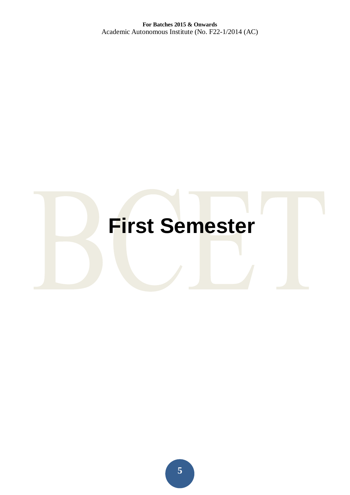# **First Semester**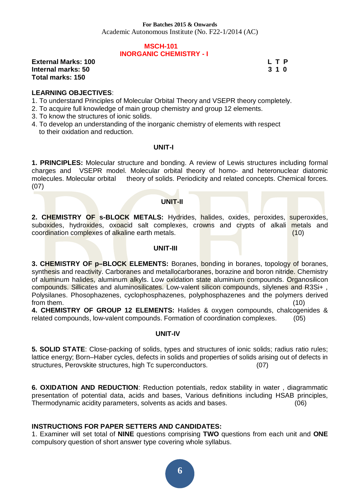Academic Autonomous Institute (No. F22-1/2014 (AC)

#### **MSCH-101 INORGANIC CHEMISTRY - I**

**External Marks: 100 L T P L T P Internal marks: 50 3 1 0 Total marks: 150** 

#### **LEARNING OBJECTIVES**:

- 1. To understand Principles of Molecular Orbital Theory and VSEPR theory completely.
- 2. To acquire full knowledge of main group chemistry and group 12 elements.
- 3. To know the structures of ionic solids.
- 4. To develop an understanding of the inorganic chemistry of elements with respect to their oxidation and reduction.

#### **UNIT-I**

**1. PRINCIPLES:** Molecular structure and bonding. A review of Lewis structures including formal charges and VSEPR model. Molecular orbital theory of homo- and heteronuclear diatomic molecules. Molecular orbital theory of solids. Periodicity and related concepts. Chemical forces. (07)

#### **UNIT-II**

2. CHEMISTRY OF **s-BLOCK METALS:** Hydrides, halides, oxides, peroxides, superoxides, suboxides, hydroxides, oxoacid salt complexes, crowns and crypts of alkali metals and coordination complexes of alkaline earth metals. (10)

#### **UNIT-III**

**3. CHEMISTRY OF p–BLOCK ELEMENTS:** Boranes, bonding in boranes, topology of boranes, synthesis and reactivity. Carboranes and metallocarboranes, borazine and boron nitride. Chemistry of aluminum halides, aluminum alkyls. Low oxidation state aluminium compounds. Organosilicon compounds. Sillicates and aluminosilicates. Low-valent silicon compounds, silylenes and R3Si+ , Polysilanes. Phosophazenes, cyclophosphazenes, polyphosphazenes and the polymers derived from them. (10)

**4. CHEMISTRY OF GROUP 12 ELEMENTS:** Halides & oxygen compounds, chalcogenides & related compounds, low-valent compounds. Formation of coordination complexes. (05)

#### **UNIT-IV**

**5. SOLID STATE**: Close-packing of solids, types and structures of ionic solids; radius ratio rules; lattice energy; Born–Haber cycles, defects in solids and properties of solids arising out of defects in structures, Perovskite structures, high Tc superconductors. (07)

**6. OXIDATION AND REDUCTION**: Reduction potentials, redox stability in water , diagrammatic presentation of potential data, acids and bases, Various definitions including HSAB principles, Thermodynamic acidity parameters, solvents as acids and bases. (06)

#### **INSTRUCTIONS FOR PAPER SETTERS AND CANDIDATES:**

1. Examiner will set total of **NINE** questions comprising **TWO** questions from each unit and **ONE**  compulsory question of short answer type covering whole syllabus.

**6**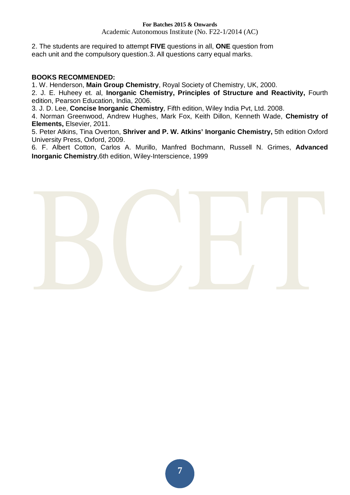Academic Autonomous Institute (No. F22-1/2014 (AC)

2. The students are required to attempt **FIVE** questions in all, **ONE** question from each unit and the compulsory question.3. All questions carry equal marks.

#### **BOOKS RECOMMENDED:**

1. W. Henderson, **Main Group Chemistry**, Royal Society of Chemistry, UK, 2000.

2. J. E. Huheey et. al, **Inorganic Chemistry, Principles of Structure and Reactivity,** Fourth edition, Pearson Education, India, 2006.

3*.* J. D. Lee, **Concise Inorganic Chemistry***,* Fifth edition, Wiley India Pvt, Ltd. 2008.

4. Norman Greenwood, Andrew Hughes, Mark Fox, Keith Dillon, Kenneth Wade, **Chemistry of Elements,** Elsevier, 2011.

5. Peter Atkins, Tina Overton, **Shriver and P. W. Atkins' Inorganic Chemistry,** 5th edition Oxford University Press, Oxford, 2009.

6*.* F. Albert Cotton, Carlos A. Murillo, Manfred Bochmann, Russell N. Grimes, **Advanced Inorganic Chemistry**,6th edition, Wiley-Interscience, 1999

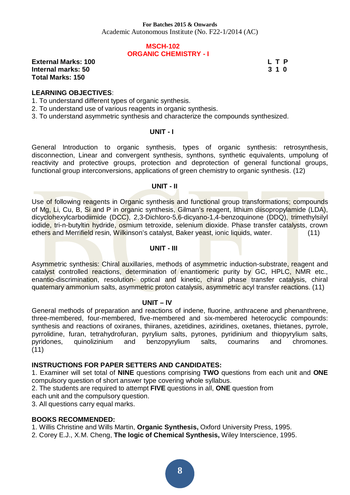#### **MSCH-102 ORGANIC CHEMISTRY - I**

**External Marks: 100 L T P L T P Internal marks: 50 3 1 0 Total Marks: 150** 

#### **LEARNING OBJECTIVES**:

1. To understand different types of organic synthesis.

- 2. To understand use of various reagents in organic synthesis.
- 3. To understand asymmetric synthesis and characterize the compounds synthesized.

#### **UNIT - I**

General Introduction to organic synthesis, types of organic synthesis: retrosynthesis, disconnection, Linear and convergent synthesis, synthons, synthetic equivalents, umpolung of reactivity and protective groups, protection and deprotection of general functional groups, functional group interconversions, applications of green chemistry to organic synthesis. (12)

#### **UNIT - II**

Use of following reagents in Organic synthesis and functional group transformations; compounds of Mg, Li, Cu, B, Si and P in organic synthesis, Gilman's reagent, lithium diisopropylamide (LDA), dicyclohexylcarbodiimide (DCC), 2,3-Dichloro-5,6-dicyano-1,4-benzoquinone (DDQ), trimethylsilyl iodide, tri-n-butyltin hydride, osmium tetroxide, selenium dioxide. Phase transfer catalysts, crown ethers and Merrifield resin, Wilkinson's catalyst, Baker yeast, ionic liquids, water. (11)

#### **UNIT - III**

Asymmetric synthesis: Chiral auxillaries, methods of asymmetric induction-substrate, reagent and catalyst controlled reactions, determination of enantiomeric purity by GC, HPLC, NMR etc., enantio-discrimination, resolution- optical and kinetic, chiral phase transfer catalysis, chiral quaternary ammonium salts, asymmetric proton catalysis, asymmetric acyl transfer reactions. (11)

#### **UNIT – lV**

General methods of preparation and reactions of indene, fluorine, anthracene and phenanthrene, three-membered, four-membered, five-membered and six-membered heterocyclic compounds: synthesis and reactions of oxiranes, thiiranes, azetidines, aziridines, oxetanes, thietanes, pyrrole, pyrrolidine, furan, tetrahydrofuran, pyrylium salts, pyrones, pyridinium and thiopyrylium salts, pyridones, quinolizinium and benzopyrylium salts, coumarins and chromones. (11)

#### **INSTRUCTIONS FOR PAPER SETTERS AND CANDIDATES:**

1. Examiner will set total of **NINE** questions comprising **TWO** questions from each unit and **ONE**  compulsory question of short answer type covering whole syllabus.

2. The students are required to attempt **FIVE** questions in all, **ONE** question from

each unit and the compulsory question.

3. All questions carry equal marks.

#### **BOOKS RECOMMENDED:**

1. Willis Christine and Wills Martin, **Organic Synthesis,** Oxford University Press, 1995.

2. Corey E.J., X.M. Cheng, **The logic of Chemical Synthesis,** Wiley Interscience, 1995.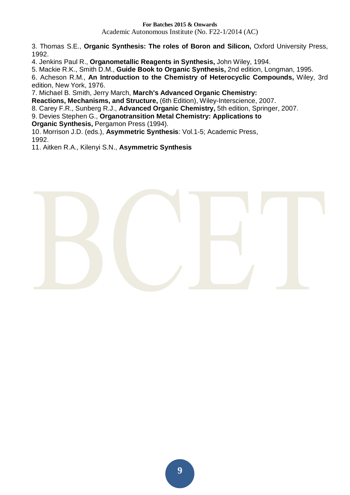3. Thomas S.E., **Organic Synthesis: The roles of Boron and Silicon,** Oxford University Press, 1992.

4. Jenkins Paul R., **Organometallic Reagents in Synthesis,** John Wiley, 1994.

5. Mackie R.K., Smith D.M., **Guide Book to Organic Synthesis,** 2nd edition, Longman, 1995.

6. Acheson R.M., **An Introduction to the Chemistry of Heterocyclic Compounds,** Wiley, 3rd edition, New York, 1976.

7. Michael B. Smith, Jerry March, **March's Advanced Organic Chemistry:** 

**Reactions, Mechanisms, and Structure,** (6th Edition), Wiley-Interscience, 2007.

8. Carey F.R., Sunberg R.J., **Advanced Organic Chemistry,** 5th edition, Springer, 2007.

9. Devies Stephen G., **Organotransition Metal Chemistry: Applications to** 

**Organic Synthesis,** Pergamon Press (1994).

10. Morrison J.D. (eds.), **Asymmetric Synthesis**: Vol.1-5; Academic Press, 1992.

11. Aitken R.A., Kilenyi S.N., **Asymmetric Synthesis** 

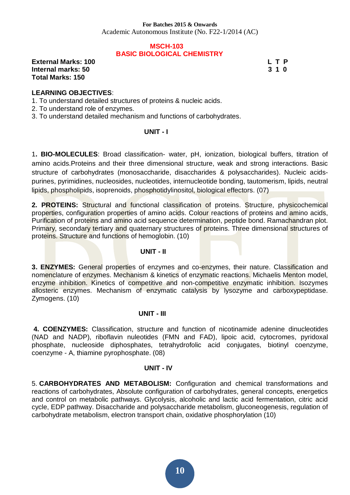Academic Autonomous Institute (No. F22-1/2014 (AC)

#### **MSCH-103 BASIC BIOLOGICAL CHEMISTRY**

**External Marks: 100 L T P L T P Internal marks: 50 3 1 0 Total Marks: 150** 

#### **LEARNING OBJECTIVES**:

1. To understand detailed structures of proteins & nucleic acids.

2. To understand role of enzymes.

3. To understand detailed mechanism and functions of carbohydrates.

#### **UNIT - I**

1**. BIO-MOLECULES**: Broad classification- water, pH, ionization, biological buffers, titration of amino acids.Proteins and their three dimensional structure, weak and strong interactions. Basic structure of carbohydrates (monosaccharide, disaccharides & polysaccharides). Nucleic acidspurines, pyrimidines, nucleosides, nucleotides, internucleotide bonding, tautomerism, lipids, neutral lipids, phospholipids, isoprenoids, phosphotidylinositol, biological effectors. (07)

**2. PROTEINS:** Structural and functional classification of proteins. Structure, physicochemical properties, configuration properties of amino acids. Colour reactions of proteins and amino acids, Purification of proteins and amino acid sequence determination, peptide bond. Ramachandran plot. Primary, secondary tertiary and quaternary structures of proteins. Three dimensional structures of proteins. Structure and functions of hemoglobin. (10)

#### **UNIT - II**

**3. ENZYMES:** General properties of enzymes and co-enzymes, their nature. Classification and nomenclature of enzymes. Mechanism & kinetics of enzymatic reactions. Michaelis Menton model, enzyme inhibition. Kinetics of competitive and non-competitive enzymatic inhibition. Isozymes allosteric enzymes. Mechanism of enzymatic catalysis by lysozyme and carboxypeptidase. Zymogens. (10)

#### **UNIT - III**

 **4. COENZYMES:** Classification, structure and function of nicotinamide adenine dinucleotides (NAD and NADP), riboflavin nuleotides (FMN and FAD), lipoic acid, cytocromes, pyridoxal phosphate, nucleoside diphosphates, tetrahydrofolic acid conjugates, biotinyl coenzyme, coenzyme - A, thiamine pyrophosphate. (08)

#### **UNIT - IV**

5. **CARBOHYDRATES AND METABOLISM:** Configuration and chemical transformations and reactions of carbohydrates, Absolute configuration of carbohydrates, general concepts, energetics and control on metabolic pathways. Glycolysis, alcoholic and lactic acid fermentation, citric acid cycle, EDP pathway. Disaccharide and polysaccharide metabolism, gluconeogenesis, regulation of carbohydrate metabolism, electron transport chain, oxidative phosphorylation (10)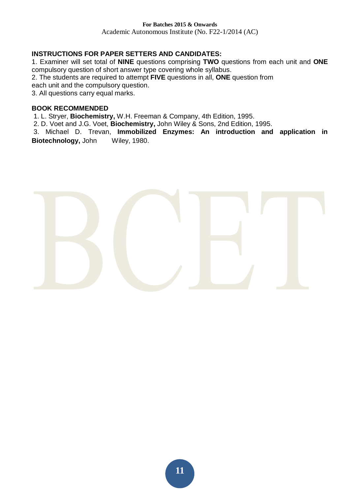#### **INSTRUCTIONS FOR PAPER SETTERS AND CANDIDATES:**

1. Examiner will set total of **NINE** questions comprising **TWO** questions from each unit and **ONE**  compulsory question of short answer type covering whole syllabus.

2. The students are required to attempt **FIVE** questions in all, **ONE** question from

each unit and the compulsory question.

3. All questions carry equal marks.

#### **BOOK RECOMMENDED**

1. L. Stryer, **Biochemistry,** W.H. Freeman & Company, 4th Edition, 1995.

2. D. Voet and J.G. Voet, **Biochemistry,** John Wiley & Sons, 2nd Edition, 1995.

 3. Michael D. Trevan, **Immobilized Enzymes: An introduction and application in Biotechnology,** John Wiley, 1980.

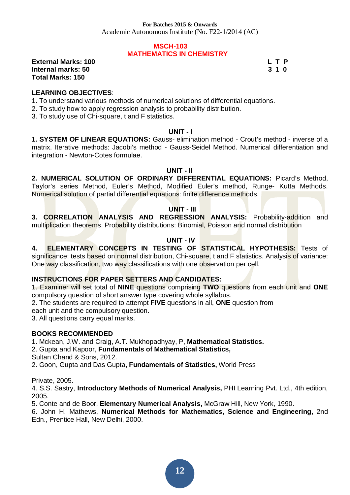#### **MSCH-103 MATHEMATICS IN CHEMISTRY**

**External Marks: 100 L T P L T P Internal marks: 50 3 1 0 Total Marks: 150** 

#### **LEARNING OBJECTIVES**:

- 1. To understand various methods of numerical solutions of differential equations.
- 2. To study how to apply regression analysis to probability distribution.
- 3. To study use of Chi-square, t and F statistics.

#### **UNIT - I**

**1. SYSTEM OF LINEAR EQUATIONS:** Gauss- elimination method - Crout's method - inverse of a matrix. Iterative methods: Jacobi's method - Gauss-Seidel Method. Numerical differentiation and integration - Newton-Cotes formulae.

#### **UNIT - II**

**2. NUMERICAL SOLUTION OF ORDINARY DIFFERENTIAL EQUATIONS:** Picard's Method, Taylor's series Method, Euler's Method, Modified Euler's method, Runge- Kutta Methods. Numerical solution of partial differential equations: finite difference methods.

#### **UNIT - III**

**3. CORRELATION ANALYSIS AND REGRESSION ANALYSIS:** Probability-addition and multiplication theorems. Probability distributions: Binomial, Poisson and normal distribution

#### **UNIT - IV**

**4. ELEMENTARY CONCEPTS IN TESTING OF STATISTICAL HYPOTHESIS:** Tests of significance: tests based on normal distribution, Chi-square, t and F statistics. Analysis of variance: One way classification, two way classifications with one observation per cell.

#### **INSTRUCTIONS FOR PAPER SETTERS AND CANDIDATES:**

1. Examiner will set total of **NINE** questions comprising **TWO** questions from each unit and **ONE**  compulsory question of short answer type covering whole syllabus.

2. The students are required to attempt **FIVE** questions in all, **ONE** question from

each unit and the compulsory question.

3. All questions carry equal marks.

#### **BOOKS RECOMMENDED**

1. Mckean, J.W. and Craig, A.T. Mukhopadhyay, P, **Mathematical Statistics.** 

2. Gupta and Kapoor, **Fundamentals of Mathematical Statistics,** 

Sultan Chand & Sons, 2012.

2. Goon, Gupta and Das Gupta, **Fundamentals of Statistics,** World Press

Private, 2005.

4. S.S. Sastry, **Introductory Methods of Numerical Analysis,** PHI Learning Pvt. Ltd., 4th edition, 2005.

5. Conte and de Boor, **Elementary Numerical Analysis,** McGraw Hill, New York, 1990.

6. John H. Mathews, **Numerical Methods for Mathematics, Science and Engineering,** 2nd Edn., Prentice Hall, New Delhi, 2000.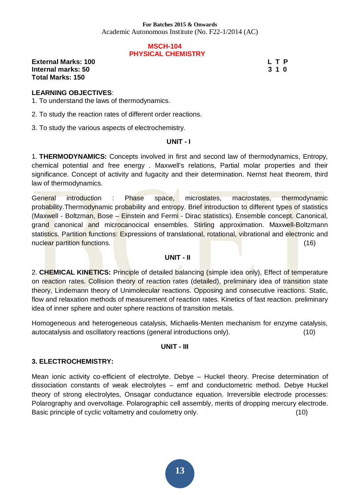Academic Autonomous Institute (No. F22-1/2014 (AC)

#### **MSCH-104 PHYSICAL CHEMISTRY**

**External Marks: 100 L T P L T P Internal marks: 50 3 1 0 Total Marks: 150** 

#### **LEARNING OBJECTIVES**:

1. To understand the laws of thermodynamics.

2. To study the reaction rates of different order reactions.

3. To study the various aspects of electrochemistry.

#### **UNIT - I**

1. **THERMODYNAMICS:** Concepts involved in first and second law of thermodynamics, Entropy, chemical potential and free energy . Maxwell's relations, Partial molar properties and their significance. Concept of activity and fugacity and their determination. Nernst heat theorem, third law of thermodynamics.

General introduction : Phase space, microstates, macrostates, thermodynamic probability.Thermodynamic probability and entropy. Brief introduction to different types of statistics (Maxwell - Boltzman, Bose – Einstein and Fermi - Dirac statistics). Ensemble concept. Canonical, grand canonical and microcanocical ensembles. Stirling approximation. Maxwell-Boltzmann statistics. Partition functions: Expressions of translational, rotational, vibrational and electronic and nuclear partition functions. (16)

#### **UNIT - II**

2. **CHEMICAL KINETICS:** Principle of detailed balancing (simple idea only), Effect of temperature on reaction rates. Collision theory of reaction rates (detailed), preliminary idea of transition state theory, Lindemann theory of Unimolecular reactions. Opposing and consecutive reactions. Static, flow and relaxation methods of measurement of reaction rates. Kinetics of fast reaction. preliminary idea of inner sphere and outer sphere reactions of transition metals.

Homogeneous and heterogeneous catalysis, Michaelis-Menten mechanism for enzyme catalysis, autocatalysis and oscillatory reactions (general introductions only). (10)

#### **UNIT - III**

#### **3. ELECTROCHEMISTRY:**

Mean ionic activity co-efficient of electrolyte. Debye – Huckel theory. Precise determination of dissociation constants of weak electrolytes – emf and conductometric method. Debye Huckel theory of strong electrolytes, Onsagar conductance equation. Irreversible electrode processes: Polarography and overvoltage. Polarographic cell assembly, merits of dropping mercury electrode. Basic principle of cyclic voltametry and coulometry only. (10)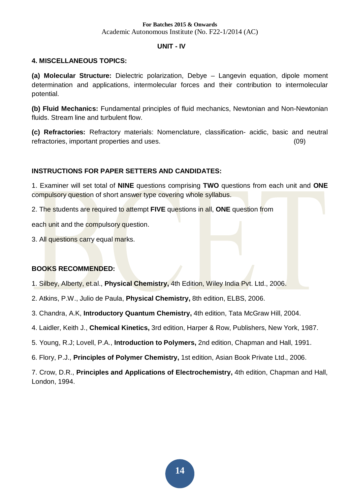Academic Autonomous Institute (No. F22-1/2014 (AC)

#### **UNIT - IV**

#### **4. MISCELLANEOUS TOPICS:**

**(a) Molecular Structure:** Dielectric polarization, Debye – Langevin equation, dipole moment determination and applications, intermolecular forces and their contribution to intermolecular potential.

**(b) Fluid Mechanics:** Fundamental principles of fluid mechanics, Newtonian and Non-Newtonian fluids. Stream line and turbulent flow.

**(c) Refractories:** Refractory materials: Nomenclature, classification- acidic, basic and neutral refractories, important properties and uses. (09)

#### **INSTRUCTIONS FOR PAPER SETTERS AND CANDIDATES:**

1. Examiner will set total of **NINE** questions comprising **TWO** questions from each unit and **ONE**  compulsory question of short answer type covering whole syllabus.

2. The students are required to attempt **FIVE** questions in all, **ONE** question from

each unit and the compulsory question.

3. All questions carry equal marks.

#### **BOOKS RECOMMENDED:**

- 1. Silbey, Alberty, et.al., **Physical Chemistry,** 4th Edition, Wiley India Pvt. Ltd., 2006.
- 2. Atkins, P.W., Julio de Paula, **Physical Chemistry,** 8th edition, ELBS, 2006.
- 3. Chandra, A.K, **Introductory Quantum Chemistry,** 4th edition, Tata McGraw Hill, 2004.
- 4. Laidler, Keith J., **Chemical Kinetics,** 3rd edition, Harper & Row, Publishers, New York, 1987.
- 5. Young, R.J; Lovell, P.A., **Introduction to Polymers,** 2nd edition, Chapman and Hall, 1991.
- 6. Flory, P.J., **Principles of Polymer Chemistry,** 1st edition, Asian Book Private Ltd., 2006.

7. Crow, D.R., **Principles and Applications of Electrochemistry,** 4th edition, Chapman and Hall, London, 1994.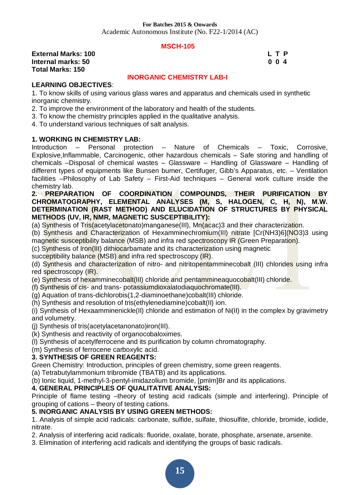#### **MSCH-105**

**External Marks: 100 L T P 200 L T P Internal marks: 50 0 0 4 Total Marks: 150** 

#### **INORGANIC CHEMISTRY LAB-I**

#### **LEARNING OBJECTIVES**:

1. To know skills of using various glass wares and apparatus and chemicals used in synthetic inorganic chemistry.

- 2. To improve the environment of the laboratory and health of the students.
- 3. To know the chemistry principles applied in the qualitative analysis.
- 4. To understand various techniques of salt analysis.

#### **1. WORKING IN CHEMISTRY LAB:**

Introduction – Personal protection – Nature of Chemicals – Toxic, Corrosive, Explosive,Inflammable, Carcinogenic, other hazardous chemicals – Safe storing and handling of chemicals –Disposal of chemical wastes – Glassware – Handling of Glassware – Handling of different types of equipments like Bunsen burner, Certifuger, Gibb's Apparatus, etc. – Ventilation facilities –Philosophy of Lab Safety – First-Aid techniques – General work culture inside the chemistry lab.

#### **2. PREPARATION OF COORDINATION COMPOUNDS, THEIR PURIFICATION BY CHROMATOGRAPHY, ELEMENTAL ANALYSES (M, S, HALOGEN, C, H, N), M.W. DETERMINATION (RAST METHOD) AND ELUCIDATION OF STRUCTURES BY PHYSICAL METHODS (UV, IR, NMR, MAGNETIC SUSCEPTIBILITY):**

(a) Synthesis of Tris(acetylacetonato)manganese(III), Mn(acac)3 and their characterization.

(b) Synthesis and Characterization of Hexamminechromium(III) nitrate [Cr(NH3)6](NO3)3 using magnetic susceptibility balance (MSB) and infra red spectroscopy IR (Green Preparation).

(c) Synthesis of Iron(III) dithiocarbamate and its characterization using magnetic

succeptibility balance (MSB) and infra red spectroscopy (IR).

(d) Synthesis and characterization of nitro- and nitritopentamminecobalt (III) chlorides using infra red spectroscopy (IR).

(e) Synthesis of hexamminecobalt(III) chloride and pentammineaquocobalt(III) chloride.

- (f) Synthesis of cis- and trans- potassiumdioxalatodiaquochromate(III).
- (g) Aquation of trans-dichlorobis(1,2-diaminoethane)cobalt(III) chloride.
- (h) Synthesis and resolution of tris(ethylenediamine)cobalt(II) ion.

(i) Synthesis of Hexaamminenickle(II) chloride and estimation of Ni(II) in the complex by gravimetry and volumetry.

- (j) Synthesis of tris(acetylacetanonato)iron(III).
- (k) Synthesis and reactivity of organocobaloximes.
- (l) Synthesis of acetylferrocene and its purification by column chromatography.
- (m) Synthesis of ferrocene carboxylic acid.

#### **3. SYNTHESIS OF GREEN REAGENTS:**

Green Chemistry: Introduction, principles of green chemistry, some green reagents.

(a) Tetrabutylammonium tribromide (TBATB) and its applications.

(b) Ionic liquid, 1-methyl-3-pentyl-imidazolium bromide, [pmIm]Br and its applications.

#### **4. GENERAL PRINCIPLES OF QUALITATIVE ANALYSIS:**

Principle of flame testing -theory of testing acid radicals (simple and interfering). Principle of grouping of cations – theory of testing cations.

#### **5. INORGANIC ANALYSIS BY USING GREEN METHODS:**

1. Analysis of simple acid radicals: carbonate, sulfide, sulfate, thiosulfite, chloride, bromide, iodide, nitrate.

2. Analysis of interfering acid radicals: fluoride, oxalate, borate, phosphate, arsenate, arsenite.

3. Elimination of interfering acid radicals and identifying the groups of basic radicals.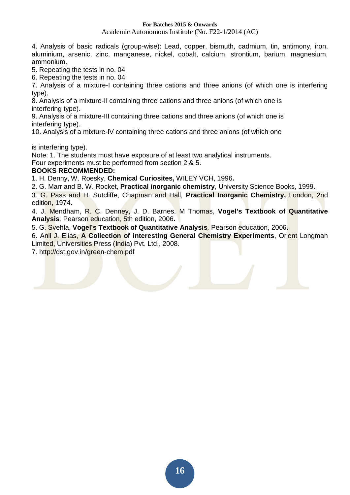Academic Autonomous Institute (No. F22-1/2014 (AC)

4. Analysis of basic radicals (group-wise): Lead, copper, bismuth, cadmium, tin, antimony, iron, aluminium, arsenic, zinc, manganese, nickel, cobalt, calcium, strontium, barium, magnesium, ammonium.

5. Repeating the tests in no. 04

6. Repeating the tests in no. 04

7. Analysis of a mixture-I containing three cations and three anions (of which one is interfering type).

8. Analysis of a mixture-II containing three cations and three anions (of which one is interfering type).

9. Analysis of a mixture-III containing three cations and three anions (of which one is interfering type).

10. Analysis of a mixture-IV containing three cations and three anions (of which one

is interfering type).

Note: 1. The students must have exposure of at least two analytical instruments.

Four experiments must be performed from section 2 & 5.

#### **BOOKS RECOMMENDED:**

1. H. Denny, W. Roesky, **Chemical Curiosites,** WILEY VCH, 1996**.** 

2. G. Marr and B. W. Rocket, **Practical inorganic chemistry**, University Science Books, 1999**.** 

3. G. Pass and H. Sutcliffe, Chapman and Hall, **Practical Inorganic Chemistry,** London, 2nd edition, 1974**.** 

4. J. Mendham, R. C. Denney, J. D. Barnes, M Thomas, **Vogel's Textbook of Quantitative Analysis***,* Pearson education, 5th edition, 2006**.** 

5. G. Svehla, **Vogel's Textbook of Quantitative Analysis***,* Pearson education, 2006**.** 

6. Anil J. Elias, **A Collection of interesting General Chemistry Experiments**, Orient Longman Limited, Universities Press (India) Pvt. Ltd., 2008.

7. http://dst.gov.in/green-chem.pdf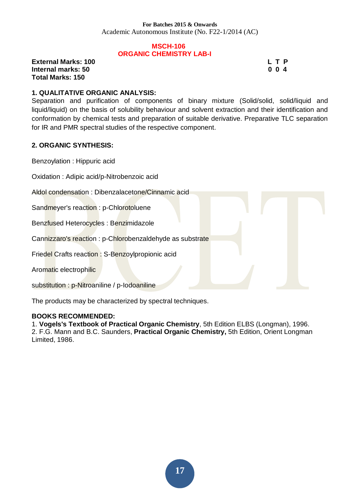#### **MSCH-106 ORGANIC CHEMISTRY LAB-I**

**External Marks: 100 L T P L T P Internal marks: 50 0 0 4 Total Marks: 150** 

#### **1. QUALITATIVE ORGANIC ANALYSIS:**

Separation and purification of components of binary mixture (Solid/solid, solid/liquid and liquid/liquid) on the basis of solubility behaviour and solvent extraction and their identification and conformation by chemical tests and preparation of suitable derivative. Preparative TLC separation for IR and PMR spectral studies of the respective component.

#### **2. ORGANIC SYNTHESIS:**

Benzoylation : Hippuric acid

Oxidation : Adipic acid/p-Nitrobenzoic acid

Aldol condensation : Dibenzalacetone/Cinnamic acid

Sandmeyer's reaction : p-Chlorotoluene

Benzfused Heterocycles : Benzimidazole

Cannizzaro's reaction : p-Chlorobenzaldehyde as substrate

Friedel Crafts reaction : S-Benzoylpropionic acid

Aromatic electrophilic

substitution : p-Nitroaniline / p-Iodoaniline

The products may be characterized by spectral techniques.

#### **BOOKS RECOMMENDED:**

1. **Vogels's Textbook of Practical Organic Chemistry**, 5th Edition ELBS (Longman), 1996. 2. F.G. Mann and B.C. Saunders, **Practical Organic Chemistry,** 5th Edition, Orient Longman Limited, 1986.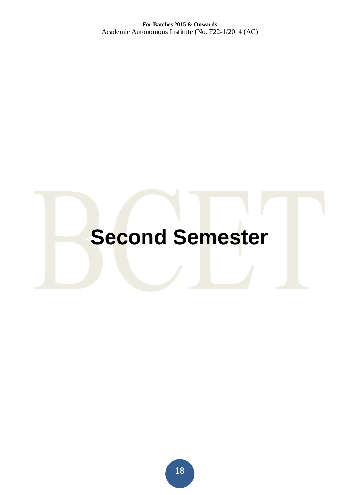# **Second Semester**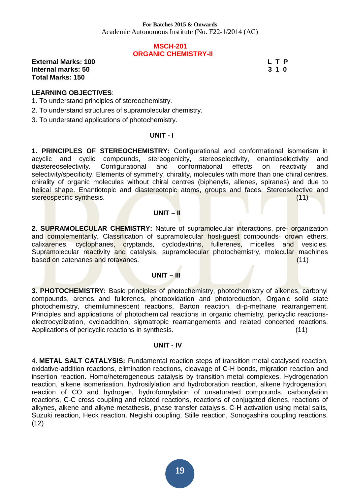#### **MSCH-201 ORGANIC CHEMISTRY-II**

**External Marks: 100 L T P L T P Internal marks: 50 3 1 0 Total Marks: 150** 

#### **LEARNING OBJECTIVES**:

1. To understand principles of stereochemistry.

2. To understand structures of supramolecular chemistry.

3. To understand applications of photochemistry.

#### **UNIT - I**

**1. PRINCIPLES OF STEREOCHEMISTRY:** Configurational and conformational isomerism in acyclic and cyclic compounds, stereogenicity, stereoselectivity, enantioselectivity and diastereoselectivity. Configurational and conformational effects on reactivity and selectivity/specificity. Elements of symmetry, chirality, molecules with more than one chiral centres, chirality of organic molecules without chiral centres (biphenyls, allenes, spiranes) and due to helical shape. Enantiotopic and diastereotopic atoms, groups and faces. Stereoselective and stereospecific synthesis. (11)

#### **UNIT – II**

**2. SUPRAMOLECULAR CHEMISTRY:** Nature of supramolecular interactions, pre- organization and complementarity. Classification of supramolecular host-quest compounds- crown ethers, calixarenes, cyclophanes, cryptands, cyclodextrins, fullerenes, micelles and vesicles. Supramolecular reactivity and catalysis, supramolecular photochemistry, molecular machines based on catenanes and rotaxanes. (11)  $(11)$ 

#### **UNIT – III**

**3. PHOTOCHEMISTRY:** Basic principles of photochemistry, photochemistry of alkenes, carbonyl compounds, arenes and fullerenes, photooxidation and photoreduction, Organic solid state photochemistry, chemiluminescent reactions, Barton reaction, di-p-methane rearrangement. Principles and applications of photochemical reactions in organic chemistry, pericyclic reactionselectrocyclization, cycloaddition, sigmatropic rearrangements and related concerted reactions. Applications of pericyclic reactions in synthesis. (11)

#### **UNIT - IV**

4. **METAL SALT CATALYSIS:** Fundamental reaction steps of transition metal catalysed reaction, oxidative-addition reactions, elimination reactions, cleavage of C-H bonds, migration reaction and insertion reaction. Homo/heterogeneous catalysis by transition metal complexes. Hydrogenation reaction, alkene isomerisation, hydrosilylation and hydroboration reaction, alkene hydrogenation, reaction of CO and hydrogen, hydroformylation of unsaturated compounds, carbonylation reactions, C-C cross coupling and related reactions, reactions of conjugated dienes, reactions of alkynes, alkene and alkyne metathesis, phase transfer catalysis, C-H activation using metal salts, Suzuki reaction, Heck reaction, Negishi coupling, Stille reaction, Sonogashira coupling reactions. (12)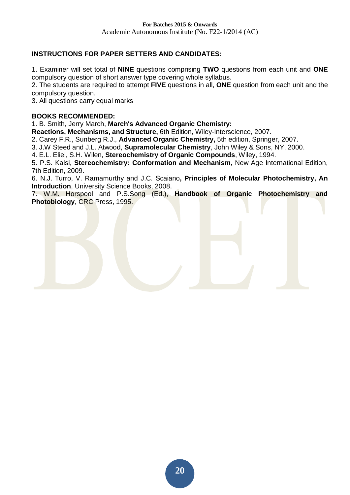## **INSTRUCTIONS FOR PAPER SETTERS AND CANDIDATES:**

1. Examiner will set total of **NINE** questions comprising **TWO** questions from each unit and **ONE**  compulsory question of short answer type covering whole syllabus.

2. The students are required to attempt **FIVE** questions in all, **ONE** question from each unit and the compulsory question.

3. All questions carry equal marks

#### **BOOKS RECOMMENDED:**

1. B. Smith, Jerry March, **March's Advanced Organic Chemistry:** 

**Reactions, Mechanisms, and Structure,** 6th Edition, Wiley-Interscience, 2007.

2. Carey F.R., Sunberg R.J., **Advanced Organic Chemistry,** 5th edition, Springer, 2007.

3. J.W Steed and J.L. Atwood, **Supramolecular Chemistry**, John Wiley & Sons, NY, 2000.

4. E.L. Eliel, S.H. Wilen, **Stereochemistry of Organic Compounds**, Wiley, 1994.

5. P.S. Kalsi, **Stereochemistry: Conformation and Mechanism,** New Age International Edition, 7th Edition, 2009.

6. N.J. Turro, V. Ramamurthy and J.C. Scaiano**, Principles of Molecular Photochemistry, An Introduction**, University Science Books, 2008.

7. W.M. Horspool and P.S.Song (Ed.), **Handbook of Organic Photochemistry and Photobiology**, CRC Press, 1995.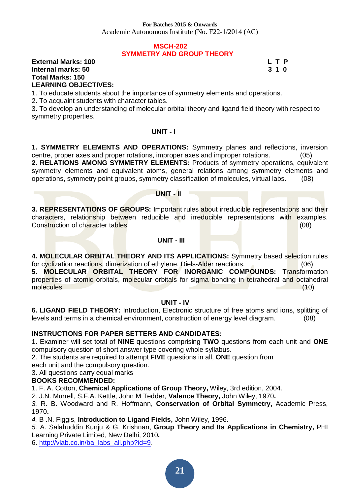Academic Autonomous Institute (No. F22-1/2014 (AC)

#### **MSCH-202 SYMMETRY AND GROUP THEORY**

#### **External Marks: 100 L T P L T P Internal marks: 50 3 1 0 Total Marks: 150 LEARNING OBJECTIVES:**

1. To educate students about the importance of symmetry elements and operations.

2. To acquaint students with character tables.

3. To develop an understanding of molecular orbital theory and ligand field theory with respect to symmetry properties.

#### **UNIT - I**

**1. SYMMETRY ELEMENTS AND OPERATIONS:** Symmetry planes and reflections, inversion centre, proper axes and proper rotations, improper axes and improper rotations. (05) **2. RELATIONS AMONG SYMMETRY ELEMENTS:** Products of symmetry operations, equivalent

symmetry elements and equivalent atoms, general relations among symmetry elements and operations, symmetry point groups, symmetry classification of molecules, virtual labs. (08)

#### **UNIT - II**

**3. REPRESENTATIONS OF GROUPS:** Important rules about irreducible representations and their characters, relationship between reducible and irreducible representations with examples. Construction of character tables. (08)

#### **UNIT - III**

**4. MOLECULAR ORBITAL THEORY AND ITS APPLICATIONS:** Symmetry based selection rules for cyclization reactions, dimerization of ethylene, Diels-Alder reactions. (06) **5. MOLECULAR ORBITAL THEORY FOR INORGANIC COMPOUNDS:** Transformation properties of atomic orbitals, molecular orbitals for sigma bonding in tetrahedral and octahedral molecules. (10)

#### **UNIT - IV**

**6. LIGAND FIELD THEORY:** Introduction, Electronic structure of free atoms and ions, splitting of levels and terms in a chemical environment, construction of energy level diagram. (08)

#### **INSTRUCTIONS FOR PAPER SETTERS AND CANDIDATES:**

1. Examiner will set total of **NINE** questions comprising **TWO** questions from each unit and **ONE**  compulsory question of short answer type covering whole syllabus.

2. The students are required to attempt **FIVE** questions in all, **ONE** question from

each unit and the compulsory question.

3. All questions carry equal marks

#### **BOOKS RECOMMENDED:**

1. F. A. Cotton, **Chemical Applications of Group Theory,** Wiley, 3rd edition, 2004.

*2.* J.N. Murrell, S.F.A. Kettle, John M Tedder, **Valence Theory,** John Wiley, 1970**.** 

*3.* R. B. Woodward and R. Hoffmann, **Conservation of Orbital Symmetry,** Academic Press, 1970**.** 

*4.* B .N. Figgis, **Introduction to Ligand Fields,** John Wiley, 1996.

*5.* A. Salahuddin Kunju & G. Krishnan, **Group Theory and Its Applications in Chemistry,** PHI Learning Private Limited, New Delhi, 2010**.** 

6. [http://vlab.co.in/ba\\_labs\\_all.php?id=9](http://vlab.co.in/ba_labs_all.php?id=9).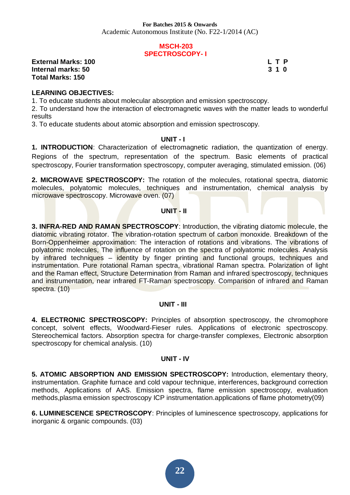#### **MSCH-203 SPECTROSCOPY- I**

**External Marks: 100 L T P L T P Internal marks: 50 3 1 0 Total Marks: 150** 

#### **LEARNING OBJECTIVES:**

1. To educate students about molecular absorption and emission spectroscopy.

2. To understand how the interaction of electromagnetic waves with the matter leads to wonderful results

3. To educate students about atomic absorption and emission spectroscopy.

#### **UNIT - I**

**1. INTRODUCTION**: Characterization of electromagnetic radiation, the quantization of energy. Regions of the spectrum, representation of the spectrum. Basic elements of practical spectroscopy, Fourier transformation spectroscopy, computer averaging, stimulated emission. (06)

**2. MICROWAVE SPECTROSCOPY:** The rotation of the molecules, rotational spectra, diatomic molecules, polyatomic molecules, techniques and instrumentation, chemical analysis by microwave spectroscopy. Microwave oven. (07)

#### **UNIT - II**

**3. INFRA-RED AND RAMAN SPECTROSCOPY**: Introduction, the vibrating diatomic molecule, the diatomic vibrating rotator. The vibration-rotation spectrum of carbon monoxide. Breakdown of the Born-Oppenheimer approximation: The interaction of rotations and vibrations. The vibrations of polyatomic molecules. The influence of rotation on the spectra of polyatomic molecules. Analysis by infrared techniques – identity by finger printing and functional groups, techniques and instrumentation. Pure rotational Raman spectra, vibrational Raman spectra. Polarization of light and the Raman effect, Structure Determination from Raman and infrared spectroscopy, techniques and instrumentation, near infrared FT-Raman spectroscopy. Comparison of infrared and Raman spectra. (10)

#### **UNIT - III**

**4. ELECTRONIC SPECTROSCOPY:** Principles of absorption spectroscopy, the chromophore concept, solvent effects, Woodward-Fieser rules. Applications of electronic spectroscopy. Stereochemical factors. Absorption spectra for charge-transfer complexes, Electronic absorption spectroscopy for chemical analysis. (10)

#### **UNIT - IV**

**5. ATOMIC ABSORPTION AND EMISSION SPECTROSCOPY:** Introduction, elementary theory, instrumentation. Graphite furnace and cold vapour technique, interferences, background correction methods, Applications of AAS. Emission spectra, flame emission spectroscopy, evaluation methods,plasma emission spectroscopy ICP instrumentation.applications of flame photometry(09)

**6. LUMINESCENCE SPECTROSCOPY**: Principles of luminescence spectroscopy, applications for inorganic & organic compounds. (03)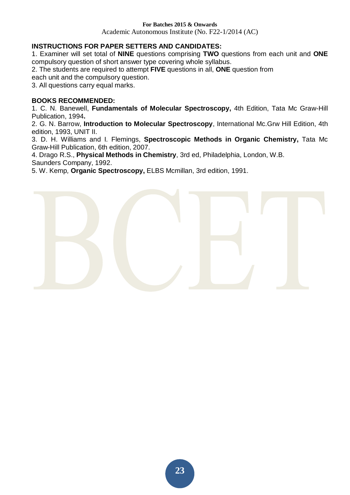Academic Autonomous Institute (No. F22-1/2014 (AC)

#### **INSTRUCTIONS FOR PAPER SETTERS AND CANDIDATES:**

1. Examiner will set total of **NINE** questions comprising **TWO** questions from each unit and **ONE**  compulsory question of short answer type covering whole syllabus.

2. The students are required to attempt **FIVE** questions in all, **ONE** question from

each unit and the compulsory question.

3. All questions carry equal marks.

#### **BOOKS RECOMMENDED:**

1. C. N. Banewell, **Fundamentals of Molecular Spectroscopy,** 4th Edition, Tata Mc Graw-Hill Publication, 1994**.** 

2. G. N. Barrow, **Introduction to Molecular Spectroscopy**, International Mc.Grw Hill Edition, 4th edition, 1993, UNIT II.

3. D. H. Williams and I. Flemings, **Spectroscopic Methods in Organic Chemistry,** Tata Mc Graw-Hill Publication, 6th edition, 2007.

4. Drago R.S., **Physical Methods in Chemistry**, 3rd ed, Philadelphia, London, W.B. Saunders Company, 1992.

5. W. Kemp*,* **Organic Spectroscopy,** ELBS Mcmillan, 3rd edition, 1991.

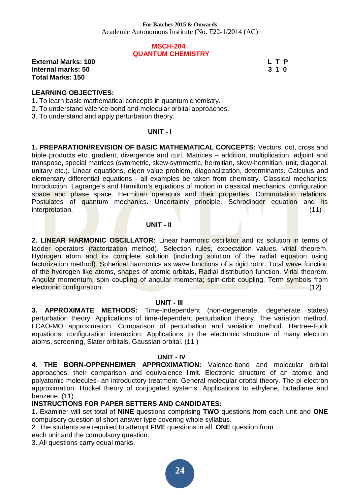#### **MSCH-204 QUANTUM CHEMISTRY**

**External Marks: 100 L T P L T P Internal marks: 50 3 1 0 Total Marks: 150** 

#### **LEARNING OBJECTIVES:**

- 1. To learn basic mathematical concepts in quantum chemistry.
- 2. To understand valence-bond and molecular orbital approaches.
- 3. To understand and apply perturbation theory.

#### **UNIT - I**

**1. PREPARATION/REVISION OF BASIC MATHEMATICAL CONCEPTS:** Vectors, dot, cross and triple products etc, gradient, divergence and curl. Matrices – addition, multiplication, adjoint and transpose, special matrices (symmetric, skew-symmetric, hermitian, skew-hermitian, unit, diagonal, unitary etc.). Linear equations, eigen value problem, diagonalization, determinants. Calculus and elementary differential equations - all examples be taken from chemistry. Classical mechanics: Introduction, Lagrange's and Hamilton's equations of motion in classical mechanics, configuration space and phase space. Hermitian operators and their properties. Commutation relations. Postulates of quantum mechanics. Uncertainty principle. Schrodinger equation and its interpretation. (11)

#### **UNIT - II**

**2. LINEAR HARMONIC OSCILLATOR:** Linear harmonic oscillator and its solution in terms of ladder operators (factorization method). Selection rules, expectation values, virial theorem. Hydrogen atom and its complete solution (including solution of the radial equation using factorization method). Spherical harmonics as wave functions of a rigid rotor. Total wave function of the hydrogen like atoms, shapes of atomic orbitals, Radial distribution function. Virial theorem. Angular momentum, spin coupling of angular momenta; spin-orbit coupling. Term symbols from electronic configuration. (12)

#### **UNIT - III**

**3. APPROXIMATE METHODS:** Time-Independent (non-degenerate, degenerate states) perturbation theory. Applications of time-dependent perturbation theory. The variation method. LCAO-MO approximation. Comparison of perturbation and variation method. Hartree-Fock equations. configuration interaction. Applications to the electronic structure of many electron atoms, screening, Slater orbitals, Gaussian orbital. (11 )

#### **UNIT - IV**

**4. THE BORN-OPPENHEIMER APPROXIMATION:** Valence-bond and molecular orbital approaches, their comparison and equivalence limit. Electronic structure of an atomic and polyatomic molecules- an introductory treatment. General molecular orbital theory. The pi-electron approximation. Huckel theory of conjugated systems. Applications to ethylene, butadiene and benzene. (11)

#### **INSTRUCTIONS FOR PAPER SETTERS AND CANDIDATES:**

1. Examiner will set total of **NINE** questions comprising **TWO** questions from each unit and **ONE**  compulsory question of short answer type covering whole syllabus.

2. The students are required to attempt **FIVE** questions in all, **ONE** question from

each unit and the compulsory question.

3. All questions carry equal marks.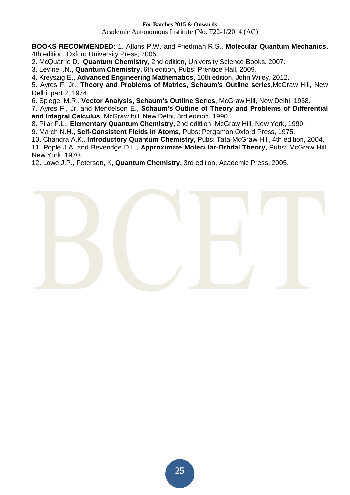Academic Autonomous Institute (No. F22-1/2014 (AC)

**BOOKS RECOMMENDED:** 1. Atkins P.W. and Friedman R.S., **Molecular Quantum Mechanics,**  4th edition, Oxford University Press, 2005.

2. McQuarrie D., **Quantum Chemistry,** 2nd edition, University Science Books, 2007.

3. Levine I.N., **Quantum Chemistry,** 6th edition, Pubs: Prentice Hall, 2009.

4. Kreyszig E., **Advanced Engineering Mathematics,** 10th edition, John Wiley, 2012.

5. Ayres F. Jr., **Theory and Problems of Matrics, Schaum's Outline series**,McGraw Hill, New Delhi, part 2, 1974.

6. Spiegel M.R., **Vector Analysis, Schaum's Outline Series**, McGraw Hill, New Delhi, 1968.

7. Ayres F., Jr. and Mendelson E., **Schaum's Outline of Theory and Problems of Differential and Integral Calculus**, McGraw hill, New Delhi, 3rd edition, 1990.

8. Pilar F.L., **Elementary Quantum Chemistry,** 2nd editilon, McGraw Hill, New York, 1990.

9. March N.H., **Self-Consistent Fields in Atoms,** Pubs: Pergamon Oxford Press, 1975.

10. Chandra A.K., **Introductory Quantum Chemistry,** Pubs: Tata-McGraw Hill, 4th edition, 2004.

11. Pople J.A. and Beveridge D.L., **Approximate Molecular-Orbital Theory,** Pubs: McGraw Hill, New York, 1970.

12. Lowe J.P., Peterson, K, **Quantum Chemistry,** 3rd edition, Academic Press, 2005.

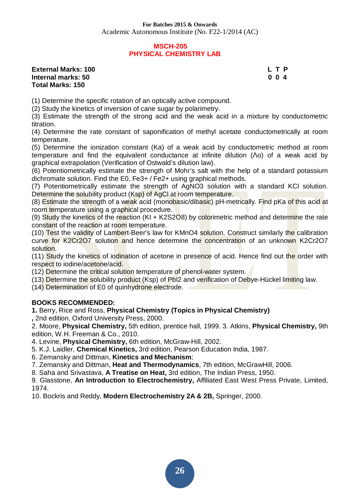#### **MSCH-205 PHYSICAL CHEMISTRY LAB**

#### **External Marks: 100 L T P Internal marks: 50 0 0 4 Total Marks: 150**

(1) Determine the specific rotation of an optically active compound.

(2) Study the kinetics of inversion of cane sugar by polarimetry.

(3) Estimate the strength of the strong acid and the weak acid in a mixture by conductometric titration.

(4) Determine the rate constant of saponification of methyl acetate conductometrically at room temperature.

(5) Determine the ionization constant (Ka) of a weak acid by conductometric method at room temperature and find the equivalent conductance at infinite dilution  $($ <sup>o</sup>) of a weak acid by graphical extrapolation (Verification of Ostwald's dilution law).

(6) Potentiometrically estimate the strength of Mohr's salt with the help of a standard potassium dichromate solution. Find the E0, Fe3+ / Fe2+ using graphical methods.

(7) Potentiometrically estimate the strength of AgNO3 solution with a standard KCl solution. Determine the solubility product (Ksp) of AgCl at room temperature.

(8) Estimate the strength of a weak acid (monobasic/dibasic) pH-metrically. Find pKa of this acid at room temperature using a graphical procedure.

(9) Study the kinetics of the reaction (KI + K2S2O8) by colorimetric method and determine the rate constant of the reaction at room temperature.

(10) Test the validity of Lambert-Beer's law for KMnO4 solution. Construct similarly the calibration curve for K2Cr2O7 solution and hence determine the concentration of an unknown K2Cr2O7 solution.

(11) Study the kinetics of iodination of acetone in presence of acid. Hence find out the order with respect to iodine/acetone/acid.

(12) Determine the critical solution temperature of phenol-water system.

(13) Determine the solubility product (Ksp) of PbI2 and verification of Debye-Hückel limiting law.

(14) Determination of E0 of quinhydrone electrode.

#### **BOOKS RECOMMENDED:**

**1.** Berry, Rice and Ross, **Physical Chemistry (Topics in Physical Chemistry) ,** 2nd edition, Oxford University Press, 2000.

2. Moore, **Physical Chemistry,** 5th edition, prentice hall, 1999. 3. Atkins, **Physical Chemistry,** 9th edition, W.H. Freeman & Co., 2010.

4. Levine, **Physical Chemistry,** 6th edition, McGraw-Hill, 2002.

5. K.J. Laidler, **Chemical Kinetics,** 3rd edition, Pearson Education India, 1987.

6. Zemansky and Dittman, **Kinetics and Mechanism**;

7. Zemansky and Dittman, **Heat and Thermodynamics**, 7th edition, McGrawHill, 2006.

8. Saha and Srivastava, **A Treatise on Heat,** 3rd edition, The Indian Press, 1950.

9. Glasstone, **An Introduction to Electrochemistry,** Affiliated East West Press Private, Limited, 1974.

10. Bockris and Reddy, **Modern Electrochemistry 2A & 2B,** Springer, 2000.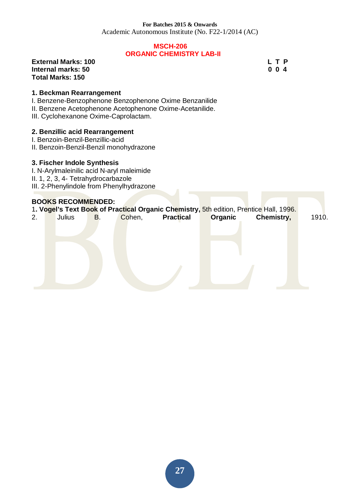Academic Autonomous Institute (No. F22-1/2014 (AC)

#### **MSCH-206 ORGANIC CHEMISTRY LAB-II**

**External Marks: 100 L T P L T P Internal marks: 50 0 0 4 Total Marks: 150** 

#### **1. Beckman Rearrangement**

I. Benzene-Benzophenone Benzophenone Oxime Benzanilide

II. Benzene Acetophenone Acetophenone Oxime-Acetanilide.

III. Cyclohexanone Oxime-Caprolactam.

#### **2. Benzillic acid Rearrangement**

- I. Benzoin-Benzil-Benzillic-acid
- II. Benzoin-Benzil-Benzil monohydrazone

#### **3. Fischer Indole Synthesis**

I. N-Arylmaleinilic acid N-aryl maleimide II. 1, 2, 3, 4- Tetrahydrocarbazole III. 2-Phenylindole from Phenylhydrazone

#### **BOOKS RECOMMENDED:**

|    |        |    |        |                  |                | 1. Vogel's Text Book of Practical Organic Chemistry, 5th edition, Prentice Hall, 1996. |       |
|----|--------|----|--------|------------------|----------------|----------------------------------------------------------------------------------------|-------|
| 2. | Julius | В. | Cohen, | <b>Practical</b> | <b>Organic</b> | Chemistry,                                                                             | 1910. |
|    |        |    |        |                  |                |                                                                                        |       |
|    |        |    |        |                  |                |                                                                                        |       |
|    |        |    |        |                  |                |                                                                                        |       |
|    |        |    |        |                  |                |                                                                                        |       |
|    |        |    |        |                  |                |                                                                                        |       |
|    |        |    |        |                  |                |                                                                                        |       |
|    |        |    |        |                  |                |                                                                                        |       |
|    |        |    |        |                  |                |                                                                                        |       |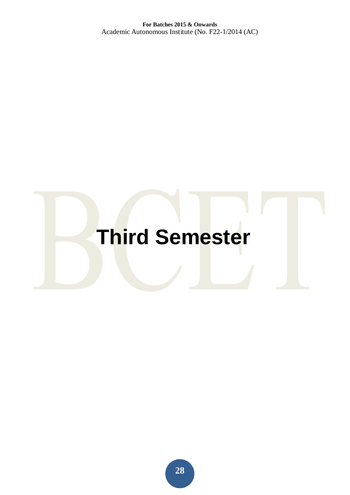# **Third Semester**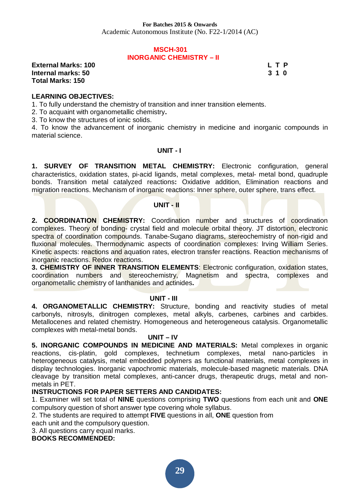#### **MSCH-301 INORGANIC CHEMISTRY – II**

**External Marks: 100 L T P L** T P **Internal marks: 50 3 1 0 Total Marks: 150** 

#### **LEARNING OBJECTIVES:**

1. To fully understand the chemistry of transition and inner transition elements.

2. To acquaint with organometallic chemistry**.** 

3. To know the structures of ionic solids.

4. To know the advancement of inorganic chemistry in medicine and inorganic compounds in material science.

#### **UNIT - I**

**1. SURVEY OF TRANSITION METAL CHEMISTRY:** Electronic configuration, general characteristics, oxidation states, pi-acid ligands, metal complexes, metal- metal bond, quadruple bonds. Transition metal catalyzed reactions**:** Oxidative addition, Elimination reactions and migration reactions. Mechanism of inorganic reactions: Inner sphere, outer sphere, trans effect.

#### **UNIT - II**

**2. COORDINATION CHEMISTRY:** Coordination number and structures of coordination complexes. Theory of bonding- crystal field and molecule orbital theory. JT distortion, electronic spectra of coordination compounds. Tanabe-Sugano diagrams, stereochemistry of non-rigid and fluxional molecules. Thermodynamic aspects of coordination complexes: Irving William Series. Kinetic aspects: reactions and aquation rates, electron transfer reactions. Reaction mechanisms of inorganic reactions. Redox reactions.

**3. CHEMISTRY OF INNER TRANSITION ELEMENTS**: Electronic configuration, oxidation states, coordination numbers and stereochemistry, Magnetism and spectra, complexes and organometallic chemistry of lanthanides and actinides**.** 

#### **UNIT - III**

**4. ORGANOMETALLIC CHEMISTRY:** Structure, bonding and reactivity studies of metal carbonyls, nitrosyls, dinitrogen complexes, metal alkyls, carbenes, carbines and carbides. Metallocenes and related chemistry. Homogeneous and heterogeneous catalysis. Organometallic complexes with metal-metal bonds.

#### **UNIT – IV**

**5. INORGANIC COMPOUNDS IN MEDICINE AND MATERIALS:** Metal complexes in organic reactions, cis-platin, gold complexes, technetium complexes, metal nano-particles in heterogeneous catalysis, metal embedded polymers as functional materials, metal complexes in display technologies. Inorganic vapochromic materials, molecule-based magnetic materials. DNA cleavage by transition metal complexes, anti-cancer drugs, therapeutic drugs, metal and nonmetals in PET.

#### **INSTRUCTIONS FOR PAPER SETTERS AND CANDIDATES:**

1. Examiner will set total of **NINE** questions comprising **TWO** questions from each unit and **ONE**  compulsory question of short answer type covering whole syllabus.

2. The students are required to attempt **FIVE** questions in all, **ONE** question from

each unit and the compulsory question.

3. All questions carry equal marks.

**BOOKS RECOMMENDED:**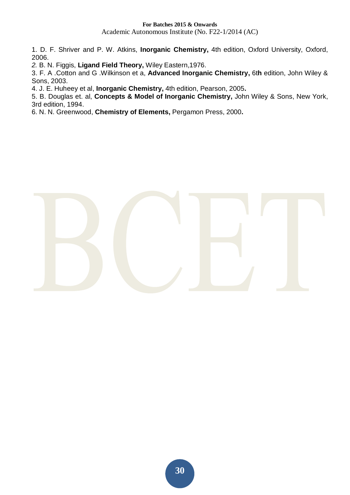Academic Autonomous Institute (No. F22-1/2014 (AC)

1. D. F. Shriver and P. W. Atkins, **Inorganic Chemistry,** 4th edition, Oxford University, Oxford, 2006.

*2.* B. N. Figgis, **Ligand Field Theory,** Wiley Eastern,1976.

3. F. A .Cotton and G .Wilkinson et a, **Advanced Inorganic Chemistry,** 6t**h** edition, John Wiley & Sons, 2003.

4. J. E. Huheey et al, **Inorganic Chemistry,** 4th edition, Pearson, 2005**.** 

5. B. Douglas et. al, **Concepts & Model of Inorganic Chemistry,** John Wiley & Sons, New York, 3rd edition, 1994.

6. N. N. Greenwood, **Chemistry of Elements,** Pergamon Press, 2000**.** 

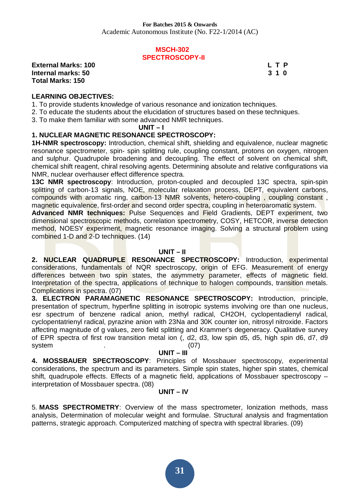#### **MSCH-302 SPECTROSCOPY-II**

**External Marks: 100 L T P L** T P **Internal marks: 50 3 1 0 Total Marks: 150** 

#### **LEARNING OBJECTIVES:**

- 1. To provide students knowledge of various resonance and ionization techniques.
- 2. To educate the students about the elucidation of structures based on these techniques.
- 3. To make them familiar with some advanced NMR techniques.

 **UNIT – I** 

#### **1. NUCLEAR MAGNETIC RESONANCE SPECTROSCOPY:**

**1H-NMR spectroscopy:** Introduction, chemical shift, shielding and equivalence, nuclear magnetic resonance spectrometer, spin- spin splitting rule, coupling constant, protons on oxygen, nitrogen and sulphur. Quadrupole broadening and decoupling. The effect of solvent on chemical shift, chemical shift reagent, chiral resolving agents. Determining absolute and relative configurations via NMR, nuclear overhauser effect difference spectra.

**13C NMR spectroscopy**: Introduction, proton-coupled and decoupled 13C spectra, spin-spin splitting of carbon-13 signals, NOE, molecular relaxation process, DEPT, equivalent carbons, compounds with aromatic ring, carbon-13 NMR solvents, hetero-coupling , coupling constant , magnetic equivalence, first-order and second order spectra, coupling in heteroaromatic system.

**Advanced NMR techniques:** Pulse Sequences and Field Gradients, DEPT experiment, two dimensional spectroscopic methods, correlation spectrometry, COSY, HETCOR, inverse detection method, NOESY experiment, magnetic resonance imaging. Solving a structural problem using combined 1-D and 2-D techniques. (14)

#### **UNIT – II**

**2. NUCLEAR QUADRUPLE RESONANCE SPECTROSCOPY:** Introduction, experimental considerations, fundamentals of NQR spectroscopy, origin of EFG. Measurement of energy differences between two spin states, the asymmetry parameter, effects of magnetic field. Interpretation of the spectra, applications of technique to halogen compounds, transition metals. Complications in spectra. (07)

**3. ELECTRON PARAMAGNETIC RESONANCE SPECTROSCOPY:** Introduction, principle, presentation of spectrum, hyperfine splitting in isotropic systems involving ore than one nucleus, esr spectrum of benzene radical anion, methyl radical, CH2OH, cyclopentadienyl radical, cyclopentatrienyl radical, pyrazine anion with 23Na and 30K counter ion, nitrosyl nitroxide. Factors affecting magnitude of g values, zero field splitting and Krammer's degeneracy. Qualitative survey of EPR spectra of first row transition metal ion (, d2, d3, low spin d5, d5, high spin d6, d7, d9 system . (07)

#### **UNIT – III**

**4. MOSSBAUER SPECTROSCOPY**: Principles of Mossbauer spectroscopy, experimental considerations, the spectrum and its parameters. Simple spin states, higher spin states, chemical shift, quadrupole effects. Effects of a magnetic field, applications of Mossbauer spectroscopy – interpretation of Mossbauer spectra. (08)

#### **UNIT – IV**

5. **MASS SPECTROMETRY**: Overview of the mass spectrometer, Ionization methods, mass analysis, Determination of molecular weight and formulae. Structural analysis and fragmentation patterns, strategic approach. Computerized matching of spectra with spectral libraries. (09)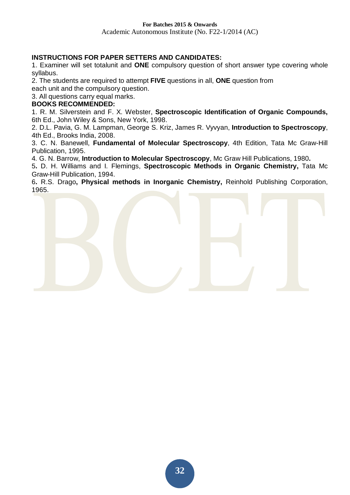Academic Autonomous Institute (No. F22-1/2014 (AC)

#### **INSTRUCTIONS FOR PAPER SETTERS AND CANDIDATES:**

1. Examiner will set totalunit and **ONE** compulsory question of short answer type covering whole syllabus.

2. The students are required to attempt **FIVE** questions in all, **ONE** question from

each unit and the compulsory question.

3. All questions carry equal marks.

#### **BOOKS RECOMMENDED:**

1. R. M. Silverstein and F. X. Webster, **Spectroscopic Identification of Organic Compounds,**  6th Ed., John Wiley & Sons, New York, 1998.

2. D.L. Pavia, G. M. Lampman, George S. Kriz, James R. Vyvyan, **Introduction to Spectroscopy**, 4th Ed., Brooks India, 2008.

3. C. N. Banewell, **Fundamental of Molecular Spectroscopy**, 4th Edition, Tata Mc Graw-Hill Publication, 1995.

4*.* G. N. Barrow, **Introduction to Molecular Spectroscopy**, Mc Graw Hill Publications, 1980**.** 

5**.** D. H. Williams and I. Flemings, **Spectroscopic Methods in Organic Chemistry,** Tata Mc Graw-Hill Publication, 1994.

6**.** R.S. Drago**, Physical methods in Inorganic Chemistry,** Reinhold Publishing Corporation, 1965.

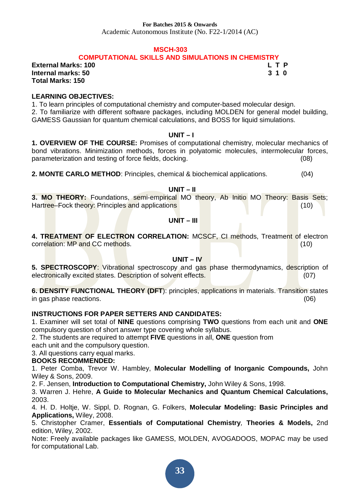Academic Autonomous Institute (No. F22-1/2014 (AC)

#### **MSCH-303**

#### **COMPUTATIONAL SKILLS AND SIMULATIONS IN CHEMISTRY**

**External Marks: 100 L T P L** T P **Internal marks: 50 3 1 0 Total Marks: 150** 

#### **LEARNING OBJECTIVES:**

1. To learn principles of computational chemistry and computer-based molecular design. 2. To familiarize with different software packages, including MOLDEN for general model building, GAMESS Gaussian for quantum chemical calculations, and BOSS for liquid simulations.

#### **UNIT – I**

**1. OVERVIEW OF THE COURSE:** Promises of computational chemistry, molecular mechanics of bond vibrations. Minimization methods, forces in polyatomic molecules, intermolecular forces, parameterization and testing of force fields, docking. (08)

**2. MONTE CARLO METHOD**: Principles, chemical & biochemical applications. (04)

#### **UNIT – II**

**3. MO THEORY:** Foundations, semi-empirical MO theory, Ab Initio MO Theory: Basis Sets; Hartree–Fock theory: Principles and applications (10)

#### **UNIT – III**

**4. TREATMENT OF ELECTRON CORRELATION:** MCSCF, CI methods, Treatment of electron correlation: MP and CC methods. (10)

#### **UNIT – IV**

**5. SPECTROSCOPY:** Vibrational spectroscopy and gas phase thermodynamics, description of electronically excited states. Description of solvent effects. (07)

**6. DENSITY FUNCTIONAL THEORY (DFT**): principles, applications in materials. Transition states in gas phase reactions. (06)

#### **INSTRUCTIONS FOR PAPER SETTERS AND CANDIDATES:**

1. Examiner will set total of **NINE** questions comprising **TWO** questions from each unit and **ONE**  compulsory question of short answer type covering whole syllabus.

2. The students are required to attempt **FIVE** questions in all, **ONE** question from

each unit and the compulsory question.

3. All questions carry equal marks.

#### **BOOKS RECOMMENDED:**

1. Peter Comba, Trevor W. Hambley, **Molecular Modelling of Inorganic Compounds,** John Wiley & Sons, 2009.

2. F. Jensen, **Introduction to Computational Chemistry,** John Wiley & Sons, 1998.

3. Warren J. Hehre, **A Guide to Molecular Mechanics and Quantum Chemical Calculations,**  2003.

4*.* H. D. Holtje, W. Sippl, D. Rognan, G. Folkers, **Molecular Modeling: Basic Principles and Applications,** Wiley, 2008.

5. Christopher Cramer, **Essentials of Computational Chemistry***,* **Theories & Models,** 2nd edition, Wiley, 2002.

Note: Freely available packages like GAMESS, MOLDEN, AVOGADOOS, MOPAC may be used for computational Lab.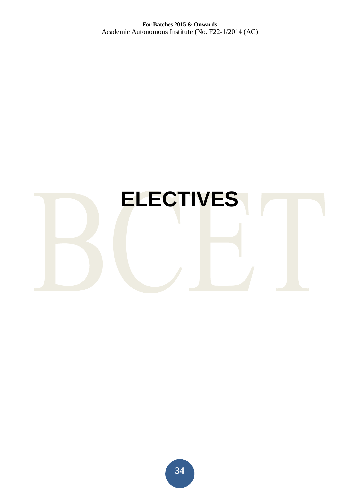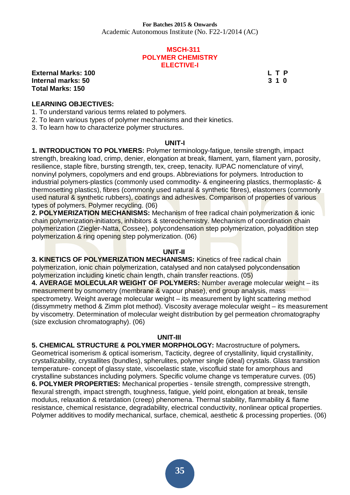#### **MSCH-311 POLYMER CHEMISTRY ELECTIVE-I**

**External Marks: 100 L T P Internal marks: 50 3 1 0 3 1 0 3 1 0 3 1 0 3 1 0 3 1 0 3 1 0 3 1 0 3 1 0 3 1 0 3 1 0 3 1 0 3 1 0 3 1 0 3 1 0 4**  $\,$  **5**  $\,$  **5**  $\,$  **5**  $\,$  **5**  $\,$  **5**  $\,$  **5**  $\,$  **5**  $\,$  **5**  $\,$  **5**  $\,$  **5**  $\,$  **5**  $\,$  **5**  $\,$  **5**  $\,$  **5**  $\,$  **5**  $\,$  **Total Marks: 150** 

#### **LEARNING OBJECTIVES:**

1. To understand various terms related to polymers.

2. To learn various types of polymer mechanisms and their kinetics.

3. To learn how to characterize polymer structures.

#### **UNIT-I**

**1. INTRODUCTION TO POLYMERS:** Polymer terminology-fatigue, tensile strength, impact strength, breaking load, crimp, denier, elongation at break, filament, yarn, filament yarn, porosity, resilience, staple fibre, bursting strength, tex, creep, tenacity. IUPAC nomenclature of vinyl, nonvinyl polymers, copolymers and end groups. Abbreviations for polymers. Introduction to industrial polymers-plastics (commonly used commodity- & engineering plastics, thermoplastic- & thermosetting plastics), fibres (commonly used natural & synthetic fibres), elastomers (commonly used natural & synthetic rubbers), coatings and adhesives. Comparison of properties of various types of polymers. Polymer recycling. (06)

**2. POLYMERIZATION MECHANISMS:** Mechanism of free radical chain polymerization & ionic chain polymerization-initiators, inhibitors & stereochemistry. Mechanism of coordination chain polymerization (Ziegler-Natta, Cossee), polycondensation step polymerization, polyaddition step polymerization & ring opening step polymerization. (06)

#### **UNIT-II**

**3. KINETICS OF POLYMERIZATION MECHANISMS: Kinetics of free radical chain** polymerization, ionic chain polymerization, catalysed and non catalysed polycondensation polymerization including kinetic chain length, chain transfer reactions. (05)

**4. AVERAGE MOLECULAR WEIGHT OF POLYMERS:** Number average molecular weight – its measurement by osmometry (membrane & vapour phase), end group analysis, mass spectrometry. Weight average molecular weight – its measurement by light scattering method (dissymmetry method & Zimm plot method). Viscosity average molecular weight – its measurement by viscometry. Determination of molecular weight distribution by gel permeation chromatography (size exclusion chromatography). (06)

#### **UNIT-III**

**5. CHEMICAL STRUCTURE & POLYMER MORPHOLOGY:** Macrostructure of polymers**.**  Geometrical isomerism & optical isomerism, Tacticity, degree of crystallinity, liquid crystallinity, crystallizability, crystallites (bundles), spherulites, polymer single (ideal) crystals. Glass transition temperature- concept of glassy state, viscoelastic state, viscofluid state for amorphous and crystalline substances including polymers. Specific volume change vs temperature curves. (05) **6. POLYMER PROPERTIES:** Mechanical properties - tensile strength, compressive strength, flexural strength, impact strength, toughness, fatigue, yield point, elongation at break, tensile modulus, relaxation & retardation (creep) phenomena. Thermal stability, flammability & flame resistance, chemical resistance, degradability, electrical conductivity, nonlinear optical properties. Polymer additives to modify mechanical, surface, chemical, aesthetic & processing properties. (06)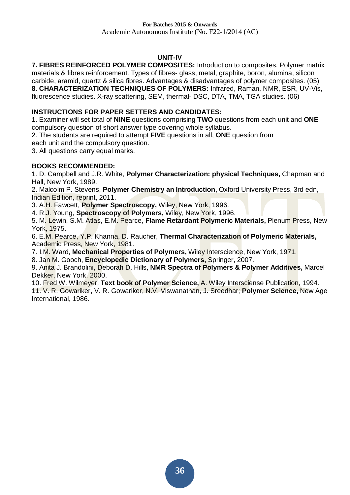#### **UNIT-IV**

**7. FIBRES REINFORCED POLYMER COMPOSITES:** Introduction to composites. Polymer matrix materials & fibres reinforcement. Types of fibres- glass, metal, graphite, boron, alumina, silicon carbide, aramid, quartz & silica fibres. Advantages & disadvantages of polymer composites. (05) **8. CHARACTERIZATION TECHNIQUES OF POLYMERS:** Infrared, Raman, NMR, ESR, UV-Vis, fluorescence studies. X-ray scattering, SEM, thermal- DSC, DTA, TMA, TGA studies. (06)

#### **INSTRUCTIONS FOR PAPER SETTERS AND CANDIDATES:**

1. Examiner will set total of **NINE** questions comprising **TWO** questions from each unit and **ONE**  compulsory question of short answer type covering whole syllabus.

2. The students are required to attempt **FIVE** questions in all, **ONE** question from

each unit and the compulsory question.

3. All questions carry equal marks.

#### **BOOKS RECOMMENDED:**

1. D. Campbell and J.R. White, **Polymer Characterization: physical Techniques,** Chapman and Hall, New York, 1989.

2. Malcolm P. Stevens, **Polymer Chemistry an Introduction,** Oxford University Press, 3rd edn, Indian Edition, reprint, 2011.

3. A.H. Fawcett, **Polymer Spectroscopy,** Wiley, New York, 1996.

4. R.J. Young, **Spectroscopy of Polymers,** Wiley, New York, 1996.

5. M. Lewin, S.M. Atlas, E.M. Pearce, **Flame Retardant Polymeric Materials,** Plenum Press, New York, 1975.

6. E.M. Pearce, Y.P. Khanna, D. Raucher, **Thermal Characterization of Polymeric Materials,**  Academic Press, New York, 1981.

7. I.M. Ward, **Mechanical Properties of Polymers,** Wiley Interscience, New York, 1971.

8. Jan M. Gooch, **Encyclopedic Dictionary of Polymers,** Springer, 2007.

9. Anita J. Brandolini, Deborah D. Hills, **NMR Spectra of Polymers & Polymer Additives,** Marcel Dekker, New York, 2000.

10. Fred W. Wilmeyer, **Text book of Polymer Science,** A. Wiley Intersciense Publication, 1994. 11. V. R. Gowariker, V. R. Gowariker, N.V. Viswanathan, J. Sreedhar; **Polymer Science,** New Age International, 1986.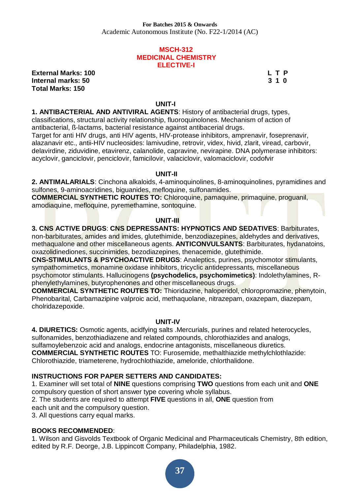#### **MSCH-312 MEDICINAL CHEMISTRY ELECTIVE-I**

**External Marks: 100 L T P Internal marks: 50 3 1 0 Total Marks: 150** 

#### **UNIT-I**

**1. ANTIBACTERIAL AND ANTIVIRAL AGENTS**: History of antibacterial drugs, types, classifications, structural activity relationship, fluoroquinolones. Mechanism of action of antibacterial, ß-lactams, bacterial resistance against antibacerial drugs.

Target for anti HIV drugs, anti HIV agents, HIV-protease inhibitors, amprenavir, foseprenavir, alazanavir etc., antii-HIV nucleosides: lamivudine, retrovir, videx, hivid, zlarit, viread, carbovir, delavirdine, ziduvidine, etavirenz, calanolide, capravine, nevirapine. DNA polymerase inhibitors: acyclovir, ganciclovir, penciclovir, famicilovir, valaciclovir, valomaciclovir, codofvir

#### **UNIT-II**

**2. ANTIMALARIALS**: Cinchona alkaloids, 4-aminoquinolines, 8-aminoquinolines, pyramidines and sulfones, 9-aminoacridines, biguanides, mefloquine, sulfonamides.

**COMMERCIAL SYNTHETIC ROUTES TO:** Chloroquine, pamaquine, primaquine, proguanil, amodiaquine, mefloquine, pyremethamine, sontoquine.

#### **UNIT-III**

**3. CNS ACTIVE DRUGS**: **CNS DEPRESSANTS: HYPNOTICS AND SEDATIVES**: Barbiturates, non-barbiturates, amides and imides, glutethimide, benzodiazepines, aldehydes and derivatives, methaqualone and other miscellaneous agents. **ANTICONVULSANTS**: Barbiturates, hydanatoins, oxazolidinediones, succinimides, bezodiazepines, thenacemide, glutethimide.

**CNS-STIMULANTS & PSYCHOACTIVE DRUGS**: Analeptics, purines, psychomotor stimulants, sympathomimetics, monamine oxidase inhibitors, tricyclic antidepressants, miscellaneous psychomotor stimulants. Hallucinogens **(psychodelics, psychomimetics)**: Indolethylamines, Rphenylethylamines, butyrophenones and other miscellaneous drugs.

**COMMERCIAL SYNTHETIC ROUTES TO:** Thioridazine, haloperidol, chloropromazine, phenytoin, Phenobarital, Carbamazipine valproic acid, methaquolane, nitrazepam, oxazepam, diazepam, cholridazepoxide.

#### **UNIT-IV**

**4. DIURETICS:** Osmotic agents, acidfying salts .Mercurials, purines and related heterocycles, sulfonamides, benzothiadiazene and related compounds, chlorothiazides and analogs, sulfamoylebenzoic acid and analogs, endocrine antagonists, miscellaneous diuretics. **COMMERCIAL SYNTHETIC ROUTES** TO: Furosemide, methalthiazide methylchlothlazide: Chlorothiazide, triameterene, hydrochlothiazide, ameloride, chlorthalidone.

#### **INSTRUCTIONS FOR PAPER SETTERS AND CANDIDATES:**

1. Examiner will set total of **NINE** questions comprising **TWO** questions from each unit and **ONE**  compulsory question of short answer type covering whole syllabus.

2. The students are required to attempt **FIVE** questions in all, **ONE** question from

each unit and the compulsory question.

3. All questions carry equal marks.

#### **BOOKS RECOMMENDED**:

1. Wilson and Gisvolds Textbook of Organic Medicinal and Pharmaceuticals Chemistry, 8th edition, edited by R.F. Deorge, J.B. Lippincott Company, Philadelphia, 1982.

**37**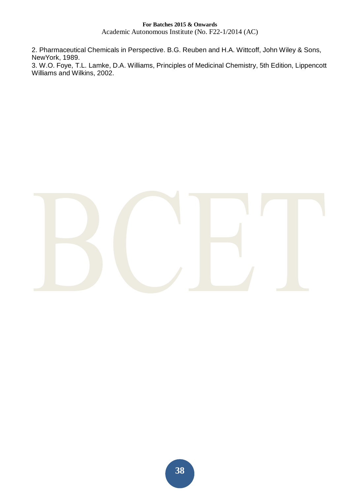Academic Autonomous Institute (No. F22-1/2014 (AC)

2. Pharmaceutical Chemicals in Perspective. B.G. Reuben and H.A. Wittcoff, John Wiley & Sons, NewYork, 1989.

3. W.O. Foye, T.L. Lamke, D.A. Williams, Principles of Medicinal Chemistry, 5th Edition, Lippencott Williams and Wilkins, 2002.

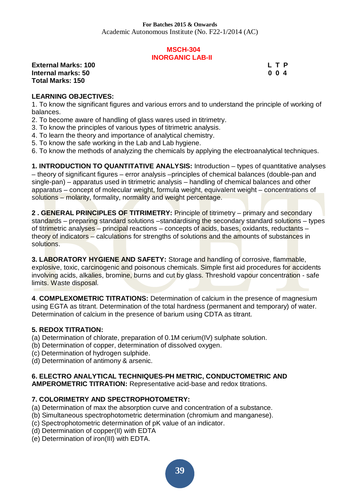#### **MSCH-304 INORGANIC LAB-II**

**External Marks: 100 L T P L** T P **Internal marks: 50 0 0 4 Total Marks: 150** 

#### **LEARNING OBJECTIVES:**

1. To know the significant figures and various errors and to understand the principle of working of balances.

- 2. To become aware of handling of glass wares used in titrimetry.
- 3. To know the principles of various types of titrimetric analysis.
- 4. To learn the theory and importance of analytical chemistry.
- 5. To know the safe working in the Lab and Lab hygiene.
- 6. To know the methods of analyzing the chemicals by applying the electroanalytical techniques.

**1. INTRODUCTION TO QUANTITATIVE ANALYSIS:** Introduction – types of quantitative analyses – theory of significant figures – error analysis –principles of chemical balances (double-pan and single-pan) – apparatus used in titrimetric analysis – handling of chemical balances and other apparatus – concept of molecular weight, formula weight, equivalent weight – concentrations of solutions – molarity, formality, normality and weight percentage.

**2 . GENERAL PRINCIPLES OF TITRIMETRY:** Principle of titrimetry – primary and secondary standards – preparing standard solutions –standardising the secondary standard solutions – types of titrimetric analyses – principal reactions – concepts of acids, bases, oxidants, reductants – theory of indicators – calculations for strengths of solutions and the amounts of substances in solutions.

**3. LABORATORY HYGIENE AND SAFETY:** Storage and handling of corrosive, flammable, explosive, toxic, carcinogenic and poisonous chemicals. Simple first aid procedures for accidents involving acids, alkalies, bromine, burns and cut by glass. Threshold vapour concentration - safe limits. Waste disposal.

**4**. **COMPLEXOMETRIC TITRATIONS:** Determination of calcium in the presence of magnesium using EGTA as titrant. Determination of the total hardness (permanent and temporary) of water. Determination of calcium in the presence of barium using CDTA as titrant.

#### **5. REDOX TITRATION:**

- (a) Determination of chlorate, preparation of 0.1M cerium(IV) sulphate solution.
- (b) Determination of copper, determination of dissolved oxygen.
- (c) Determination of hydrogen sulphide.
- (d) Determination of antimony & arsenic.

#### **6. ELECTRO ANALYTICAL TECHNIQUES-PH METRIC, CONDUCTOMETRIC AND AMPEROMETRIC TITRATION:** Representative acid-base and redox titrations.

#### **7. COLORIMETRY AND SPECTROPHOTOMETRY:**

- (a) Determination of max the absorption curve and concentration of a substance.
- (b) Simultaneous spectrophotometric determination (chromium and manganese).
- (c) Spectrophotometric determination of pK value of an indicator.
- (d) Determination of copper(II) with EDTA
- (e) Determination of iron(III) with EDTA.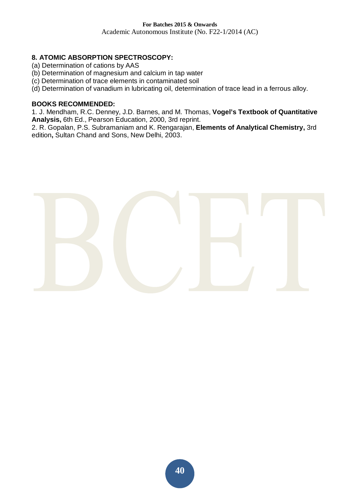Academic Autonomous Institute (No. F22-1/2014 (AC)

#### **8. ATOMIC ABSORPTION SPECTROSCOPY:**

- (a) Determination of cations by AAS
- (b) Determination of magnesium and calcium in tap water
- (c) Determination of trace elements in contaminated soil
- (d) Determination of vanadium in lubricating oil, determination of trace lead in a ferrous alloy.

#### **BOOKS RECOMMENDED:**

1*.* J. Mendham, R.C. Denney, J.D. Barnes, and M. Thomas, **Vogel's Textbook of Quantitative Analysis,** 6th Ed., Pearson Education, 2000, 3rd reprint.

2. R. Gopalan, P.S. Subramaniam and K. Rengarajan, **Elements of Analytical Chemistry,** 3rd edition**,** Sultan Chand and Sons, New Delhi, 2003.

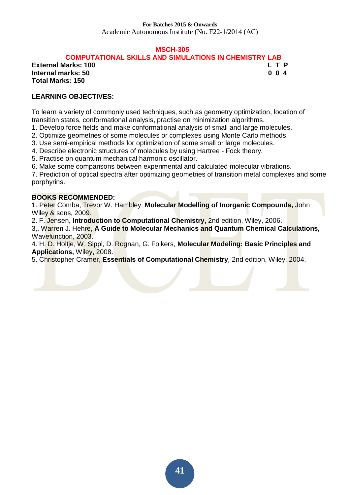Academic Autonomous Institute (No. F22-1/2014 (AC)

#### **MSCH-305**

 **COMPUTATIONAL SKILLS AND SIMULATIONS IN CHEMISTRY LAB** 

**External Marks: 100 L T P L** T P **Internal marks: 50 0 0 4 Total Marks: 150** 

## **LEARNING OBJECTIVES:**

To learn a variety of commonly used techniques, such as geometry optimization, location of transition states, conformational analysis, practise on minimization algorithms.

1. Develop force fields and make conformational analysis of small and large molecules.

2. Optimize geometries of some molecules or complexes using Monte Carlo methods.

3. Use semi-empirical methods for optimization of some small or large molecules.

4. Describe electronic structures of molecules by using Hartree - Fock theory.

5. Practise on quantum mechanical harmonic oscillator.

6. Make some comparisons between experimental and calculated molecular vibrations.

7. Prediction of optical spectra after optimizing geometries of transition metal complexes and some porphyrins.

#### **BOOKS RECOMMENDED:**

1. Peter Comba, Trevor W. Hambley, **Molecular Modelling of Inorganic Compounds,** John Wiley & sons, 2009.

2. F. Jensen, **Introduction to Computational Chemistry,** 2nd edition, Wiley, 2006.

3,. Warren J. Hehre, **A Guide to Molecular Mechanics and Quantum Chemical Calculations,**  Wavefunction, 2003.

4. H. D. Holtje, W. Sippl, D. Rognan, G. Folkers, **Molecular Modeling: Basic Principles and Applications,** Wiley, 2008.

5. Christopher Cramer, **Essentials of Computational Chemistry***,* 2nd edition, Wiley, 2004.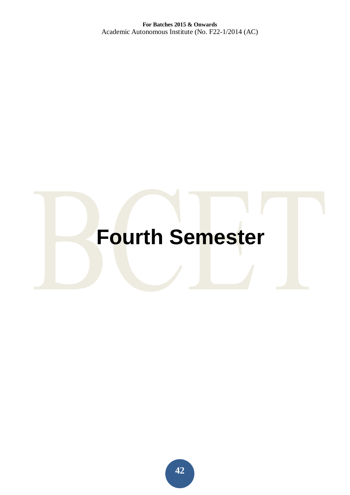# **Fourth Semester**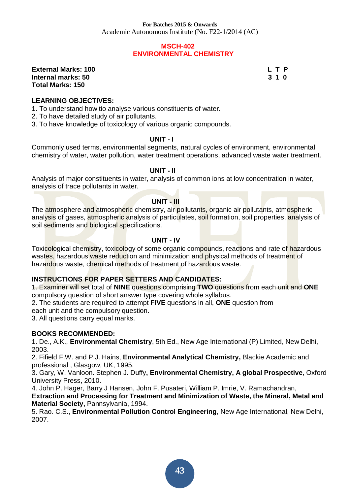#### **MSCH-402 ENVIRONMENTAL CHEMISTRY**

#### **External Marks: 100 L T P Internal marks: 50 3 1 0 Total Marks: 150**

#### **LEARNING OBJECTIVES:**

- 1. To understand how tio analyse various constituents of water.
- 2. To have detailed study of air pollutants.
- 3. To have knowledge of toxicology of various organic compounds.

#### **UNIT - I**

Commonly used terms, environmental segments, **n**atural cycles of environment, environmental chemistry of water, water pollution, water treatment operations, advanced waste water treatment.

#### **UNIT - II**

Analysis of major constituents in water, analysis of common ions at low concentration in water, analysis of trace pollutants in water.

#### **UNIT - III**

The atmosphere and atmospheric chemistry, air pollutants, organic air pollutants, atmospheric analysis of gases, atmospheric analysis of particulates, soil formation, soil properties, analysis of soil sediments and biological specifications.

#### **UNIT - IV**

Toxicological chemistry, toxicology of some organic compounds, reactions and rate of hazardous wastes, hazardous waste reduction and minimization and physical methods of treatment of hazardous waste, chemical methods of treatment of hazardous waste.

#### **INSTRUCTIONS FOR PAPER SETTERS AND CANDIDATES:**

1. Examiner will set total of **NINE** questions comprising **TWO** questions from each unit and **ONE**  compulsory question of short answer type covering whole syllabus.

2. The students are required to attempt **FIVE** questions in all, **ONE** question from

each unit and the compulsory question.

3. All questions carry equal marks.

#### **BOOKS RECOMMENDED:**

1. De., A.K., **Environmental Chemistry**, 5th Ed., New Age International (P) Limited, New Delhi, 2003.

2. Fifield F.W. and P.J. Hains, **Environmental Analytical Chemistry,** Blackie Academic and professional , Glasgow, UK, 1995.

3. Gary, W. Vanloon. Stephen J. Duffy**, Environmental Chemistry, A global Prospective**, Oxford University Press, 2010.

4. John P. Hager, Barry J Hansen, John F. Pusateri, William P. Imrie, V. Ramachandran, **Extraction and Processing for Treatment and Minimization of Waste, the Mineral, Metal and Material Society,** Pannsylvania, 1994.

5. Rao. C.S., **Environmental Pollution Control Engineering**, New Age International, New Delhi, 2007.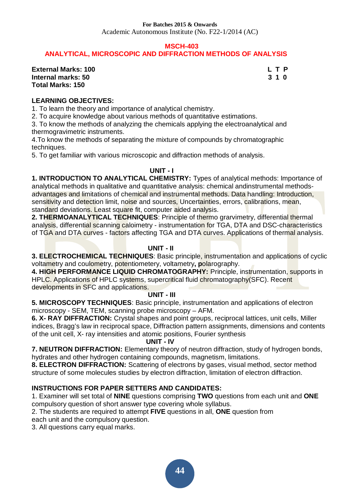Academic Autonomous Institute (No. F22-1/2014 (AC)

#### **MSCH-403**

### **ANALYTICAL, MICROSCOPIC AND DIFFRACTION METHODS OF ANALYSIS**

**External Marks: 100 L T P L T P Internal marks: 50 3 1 0 Total Marks: 150** 

#### **LEARNING OBJECTIVES:**

1. To learn the theory and importance of analytical chemistry.

2. To acquire knowledge about various methods of quantitative estimations.

3. To know the methods of analyzing the chemicals applying the electroanalytical and thermogravimetric instruments.

4.To know the methods of separating the mixture of compounds by chromatographic techniques.

5. To get familiar with various microscopic and diffraction methods of analysis.

#### **UNIT - I**

**1. INTRODUCTION TO ANALYTICAL CHEMISTRY:** Types of analytical methods: Importance of analytical methods in qualitative and quantitative analysis: chemical andinstrumental methodsadvantages and limitations of chemical and instrumental methods. Data handling: Introduction, sensitivity and detection limit, noise and sources, Uncertainties, errors, calibrations, mean, standard deviations. Least square fit, computer aided analysis.

**2. THERMOANALYTICAL TECHNIQUES**: Principle of thermo grarvimetry, differential thermal analysis, differential scanning caloimetry - instrumentation for TGA, DTA and DSC-characteristics of TGA and DTA curves - factors affecting TGA and DTA curves. Applications of thermal analysis.

#### **UNIT - II**

**3. ELECTROCHEMICAL TECHNIQUES**: Basic principle, instrumentation and applications of cyclic voltametry and coulometry, potentiometery, voltametry**, p**olarography.

**4. HIGH PERFORMANCE LIQUID CHROMATOGRAPHY:** Principle, instrumentation, supports in HPLC. Applications of HPLC systems, supercritical fluid chromatography(SFC). Recent developments in SFC and applications.

#### **UNIT - III**

**5. MICROSCOPY TECHNIQUES**: Basic principle, instrumentation and applications of electron microscopy - SEM, TEM, scanning probe microscopy – AFM.

**6. X- RAY DIFFRACTION:** Crystal shapes and point groups, reciprocal lattices, unit cells, Miller indices, Bragg's law in reciprocal space, Diffraction pattern assignments, dimensions and contents of the unit cell, X- ray intensities and atomic positions, Fourier synthesis

#### **UNIT - IV**

**7. NEUTRON DIFFRACTION:** Elementary theory of neutron diffraction, study of hydrogen bonds, hydrates and other hydrogen containing compounds, magnetism, limitations.

**8. ELECTRON DIFFRACTION:** Scattering of electrons by gases, visual method, sector method structure of some molecules studies by electron diffraction, limitation of electron diffraction.

#### **INSTRUCTIONS FOR PAPER SETTERS AND CANDIDATES:**

1. Examiner will set total of **NINE** questions comprising **TWO** questions from each unit and **ONE**  compulsory question of short answer type covering whole syllabus.

2. The students are required to attempt **FIVE** questions in all, **ONE** question from

each unit and the compulsory question.

3. All questions carry equal marks.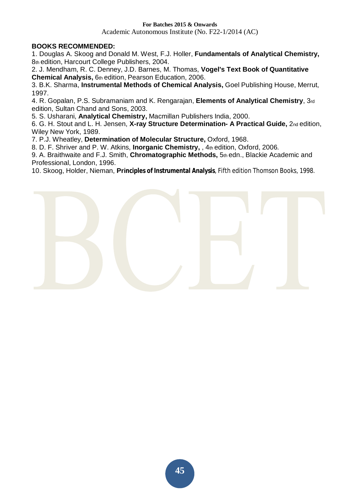Academic Autonomous Institute (No. F22-1/2014 (AC)

#### **BOOKS RECOMMENDED:**

1. Douglas A. Skoog and Donald M. West, F.J. Holler, **Fundamentals of Analytical Chemistry,**  8th edition, Harcourt College Publishers, 2004.

2. J. Mendham, R. C. Denney, J.D. Barnes, M. Thomas, **Vogel's Text Book of Quantitative Chemical Analysis,** 6th edition, Pearson Education, 2006.

3. B.K. Sharma, **Instrumental Methods of Chemical Analysis,** Goel Publishing House, Merrut, 1997.

4. R. Gopalan, P.S. Subramaniam and K. Rengarajan, **Elements of Analytical Chemistry**, 3rd edition, Sultan Chand and Sons, 2003.

5*.* S. Usharani, **Analytical Chemistry,** Macmillan Publishers India, 2000.

6. G. H. Stout and L. H. Jensen, **X-ray Structure Determination- A Practical Guide,** 2nd edition, Wiley New York, 1989.

7. P.J. Wheatley, **Determination of Molecular Structure,** Oxford, 1968.

8. D. F. Shriver and P. W. Atkins, **Inorganic Chemistry,** , 4th edition, Oxford, 2006*.* 

9. A. Braithwaite and F.J. Smith, **Chromatographic Methods,** 5th edn., Blackie Academic and Professional, London, 1996.

10. Skoog, Holder, Nieman, **Principles of Instrumental Analysis**, Fifth edition Thomson Books, 1998.

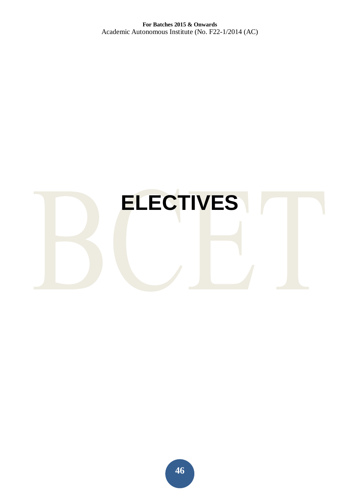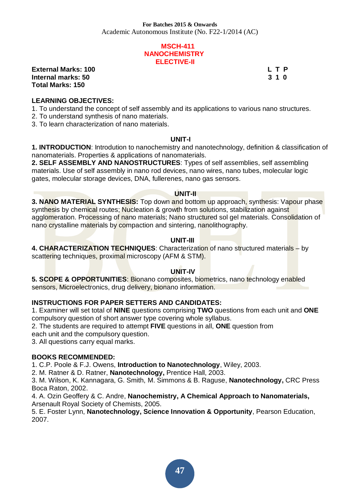#### **MSCH-411 NANOCHEMISTRY ELECTIVE-II**

**External Marks: 100 L T P L T P Internal marks: 50 3 1 0 Total Marks: 150** 

#### **LEARNING OBJECTIVES:**

- 1. To understand the concept of self assembly and its applications to various nano structures.
- 2. To understand synthesis of nano materials.
- 3. To learn characterization of nano materials.

#### **UNIT-I**

**1. INTRODUCTION**: Introdution to nanochemistry and nanotechnology, definition & classification of nanomaterials. Properties & applications of nanomaterials.

**2. SELF ASSEMBLY AND NANOSTRUCTURES**: Types of self assemblies, self assembling materials. Use of self assembly in nano rod devices, nano wires, nano tubes, molecular logic gates, molecular storage devices, DNA, fullerenes, nano gas sensors.

#### **UNIT-II**

**3. NANO MATERIAL SYNTHESIS:** Top down and bottom up approach, synthesis: Vapour phase synthesis by chemical routes; Nucleation & growth from solutions, stabilization against agglomeration. Processing of nano materials; Nano structured sol gel materials. Consolidation of nano crystalline materials by compaction and sintering, nanolithography.

#### **UNIT-III**

**4. CHARACTERIZATION TECHNIQUES**: Characterization of nano structured materials – by scattering techniques, proximal microscopy (AFM & STM).

#### **UNIT-IV**

**5. SCOPE & OPPORTUNITIES**: Bionano composites, biometrics, nano technology enabled sensors, Microelectronics, drug delivery, bionano information.

#### **INSTRUCTIONS FOR PAPER SETTERS AND CANDIDATES:**

1. Examiner will set total of **NINE** questions comprising **TWO** questions from each unit and **ONE**  compulsory question of short answer type covering whole syllabus.

2. The students are required to attempt **FIVE** questions in all, **ONE** question from

each unit and the compulsory question.

3. All questions carry equal marks.

#### **BOOKS RECOMMENDED:**

1. C.P. Poole & F.J. Owens, **Introduction to Nanotechnology**, Wiley, 2003.

2. M. Ratner & D. Ratner, **Nanotechnology,** Prentice Hall, 2003.

3. M. Wilson, K. Kannagara, G. Smith, M. Simmons & B. Raguse, **Nanotechnology,** CRC Press Boca Raton, 2002.

4. A. Ozin Geoffery & C. Andre, **Nanochemistry, A Chemical Approach to Nanomaterials,**  Arsenault Royal Society of Chemists, 2005.

5. E. Foster Lynn, **Nanotechnology, Science Innovation & Opportunity**, Pearson Education, 2007.